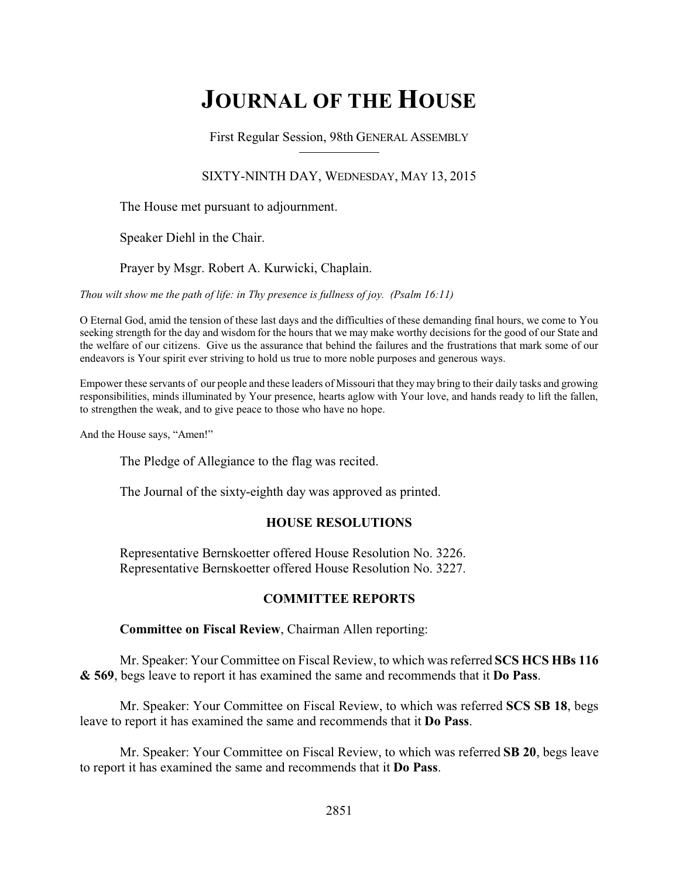# **JOURNAL OF THE HOUSE**

First Regular Session, 98th GENERAL ASSEMBLY

### SIXTY-NINTH DAY, WEDNESDAY, MAY 13, 2015

The House met pursuant to adjournment.

Speaker Diehl in the Chair.

Prayer by Msgr. Robert A. Kurwicki, Chaplain.

*Thou wilt show me the path of life: in Thy presence is fullness of joy. (Psalm 16:11)*

O Eternal God, amid the tension of these last days and the difficulties of these demanding final hours, we come to You seeking strength for the day and wisdom for the hours that we may make worthy decisions for the good of our State and the welfare of our citizens. Give us the assurance that behind the failures and the frustrations that mark some of our endeavors is Your spirit ever striving to hold us true to more noble purposes and generous ways.

Empower these servants of our people and these leaders of Missouri that they may bring to their daily tasks and growing responsibilities, minds illuminated by Your presence, hearts aglow with Your love, and hands ready to lift the fallen, to strengthen the weak, and to give peace to those who have no hope.

And the House says, "Amen!"

The Pledge of Allegiance to the flag was recited.

The Journal of the sixty-eighth day was approved as printed.

### **HOUSE RESOLUTIONS**

Representative Bernskoetter offered House Resolution No. 3226. Representative Bernskoetter offered House Resolution No. 3227.

### **COMMITTEE REPORTS**

**Committee on Fiscal Review**, Chairman Allen reporting:

Mr. Speaker: Your Committee on Fiscal Review, to which was referred **SCS HCS HBs 116 & 569**, begs leave to report it has examined the same and recommends that it **Do Pass**.

Mr. Speaker: Your Committee on Fiscal Review, to which was referred **SCS SB 18**, begs leave to report it has examined the same and recommends that it **Do Pass**.

Mr. Speaker: Your Committee on Fiscal Review, to which was referred **SB 20**, begs leave to report it has examined the same and recommends that it **Do Pass**.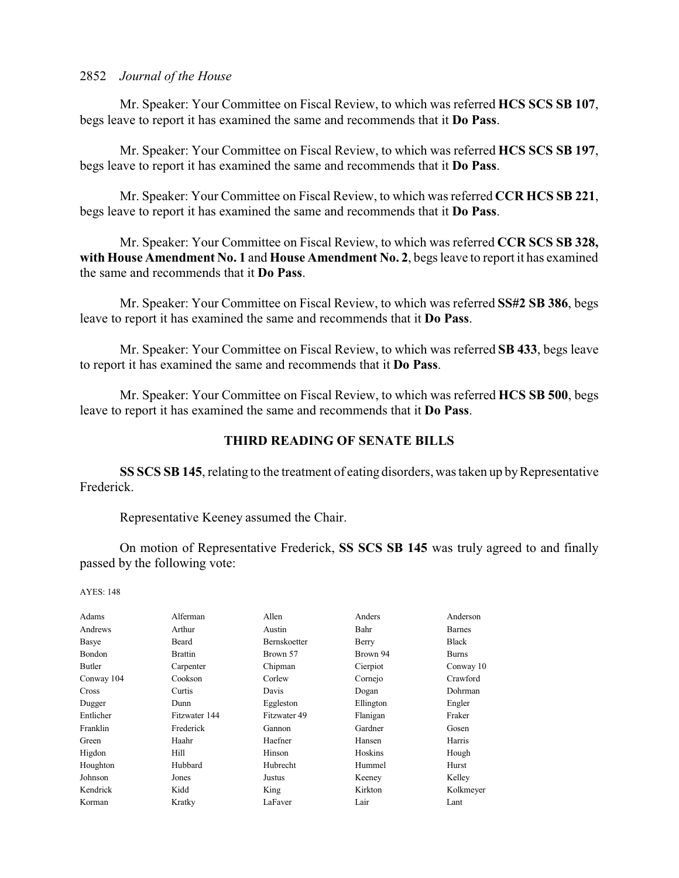Mr. Speaker: Your Committee on Fiscal Review, to which was referred **HCS SCS SB 107**, begs leave to report it has examined the same and recommends that it **Do Pass**.

Mr. Speaker: Your Committee on Fiscal Review, to which was referred **HCS SCS SB 197**, begs leave to report it has examined the same and recommends that it **Do Pass**.

Mr. Speaker: Your Committee on Fiscal Review, to which was referred **CCR HCS SB 221**, begs leave to report it has examined the same and recommends that it **Do Pass**.

Mr. Speaker: Your Committee on Fiscal Review, to which was referred **CCR SCS SB 328, with House Amendment No. 1** and **House Amendment No. 2**, begs leave to report it has examined the same and recommends that it **Do Pass**.

Mr. Speaker: Your Committee on Fiscal Review, to which was referred **SS#2 SB 386**, begs leave to report it has examined the same and recommends that it **Do Pass**.

Mr. Speaker: Your Committee on Fiscal Review, to which was referred **SB 433**, begs leave to report it has examined the same and recommends that it **Do Pass**.

Mr. Speaker: Your Committee on Fiscal Review, to which was referred **HCS SB 500**, begs leave to report it has examined the same and recommends that it **Do Pass**.

### **THIRD READING OF SENATE BILLS**

**SS SCS SB 145**, relating to the treatment of eating disorders, was taken up by Representative Frederick.

Representative Keeney assumed the Chair.

On motion of Representative Frederick, **SS SCS SB 145** was truly agreed to and finally passed by the following vote:

AYES: 148

| Adams         | Alferman       | Allen               | Anders         | Anderson      |
|---------------|----------------|---------------------|----------------|---------------|
| Andrews       | Arthur         | Austin              | Bahr           | <b>Barnes</b> |
| Basye         | Beard          | <b>Bernskoetter</b> | Berry          | <b>Black</b>  |
| <b>Bondon</b> | <b>Brattin</b> | Brown 57            | Brown 94       | <b>Burns</b>  |
| <b>Butler</b> | Carpenter      | Chipman             | Cierpiot       | Conway 10     |
| Conway 104    | Cookson        | Corlew              | Cornejo        | Crawford      |
| <b>Cross</b>  | Curtis         | Davis               | Dogan          | Dohrman       |
| Dugger        | Dunn           | Eggleston           | Ellington      | Engler        |
| Entlicher     | Fitzwater 144  | Fitzwater 49        | Flanigan       | Fraker        |
| Franklin      | Frederick      | Gannon              | Gardner        | Gosen         |
| Green         | Haahr          | Haefner             | Hansen         | Harris        |
| Higdon        | Hill           | Hinson              | <b>Hoskins</b> | Hough         |
| Houghton      | Hubbard        | Hubrecht            | Hummel         | Hurst         |
| Johnson       | Jones          | Justus              | Keeney         | Kelley        |
| Kendrick      | Kidd           | King                | Kirkton        | Kolkmeyer     |
| Korman        | Kratky         | LaFaver             | Lair           | Lant          |
|               |                |                     |                |               |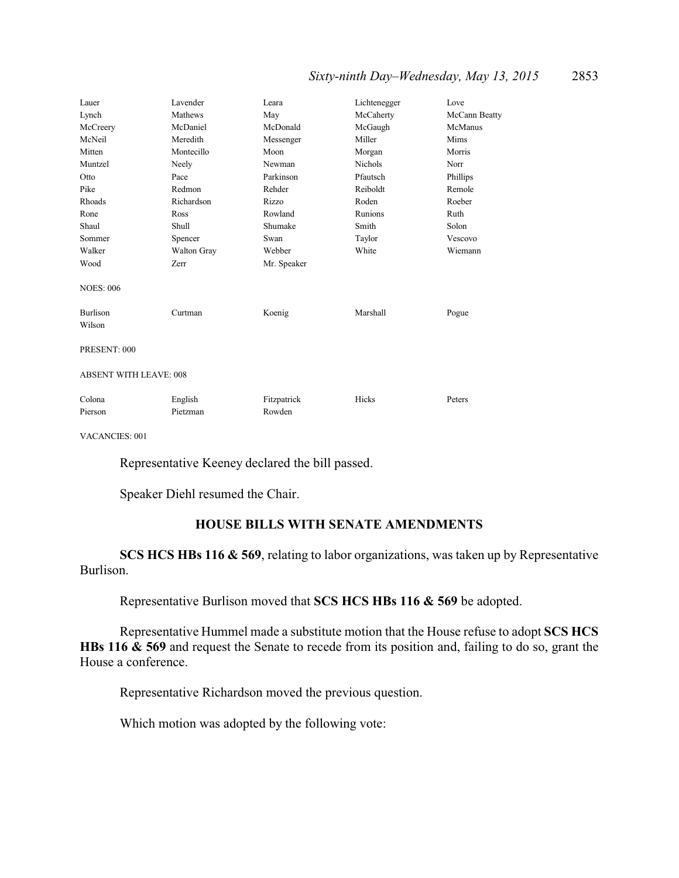### *Sixty-ninth Day–Wednesday, May 13, 2015* 2853

| Lauer                         | Lavender    | Leara       | Lichtenegger | Love          |
|-------------------------------|-------------|-------------|--------------|---------------|
| Lynch                         | Mathews     | May         | McCaherty    | McCann Beatty |
| McCreery                      | McDaniel    | McDonald    | McGaugh      | McManus       |
| McNeil                        | Meredith    | Messenger   | Miller       | Mims          |
| Mitten                        | Montecillo  | Moon        | Morgan       | Morris        |
| Muntzel                       | Neely       | Newman      | Nichols      | Norr          |
| Otto                          | Pace        | Parkinson   | Pfautsch     | Phillips      |
| Pike                          | Redmon      | Rehder      | Reiboldt     | Remole        |
| Rhoads                        | Richardson  | Rizzo       | Roden        | Roeber        |
| Rone                          | Ross        | Rowland     | Runions      | Ruth          |
| Shaul                         | Shull       | Shumake     | Smith        | Solon         |
| Sommer                        | Spencer     | Swan        | Taylor       | Vescovo       |
| Walker                        | Walton Gray | Webber      | White        | Wiemann       |
| Wood                          | Zerr        | Mr. Speaker |              |               |
| <b>NOES: 006</b>              |             |             |              |               |
| <b>Burlison</b><br>Wilson     | Curtman     | Koenig      | Marshall     | Pogue         |
| PRESENT: 000                  |             |             |              |               |
| <b>ABSENT WITH LEAVE: 008</b> |             |             |              |               |
| Colona                        | English     | Fitzpatrick | Hicks        | Peters        |
| Pierson                       | Pietzman    | Rowden      |              |               |

VACANCIES: 001

Representative Keeney declared the bill passed.

Speaker Diehl resumed the Chair.

### **HOUSE BILLS WITH SENATE AMENDMENTS**

**SCS HCS HBs 116 & 569**, relating to labor organizations, was taken up by Representative Burlison.

Representative Burlison moved that **SCS HCS HBs 116 & 569** be adopted.

Representative Hummel made a substitute motion that the House refuse to adopt **SCS HCS HBs 116 & 569** and request the Senate to recede from its position and, failing to do so, grant the House a conference.

Representative Richardson moved the previous question.

Which motion was adopted by the following vote: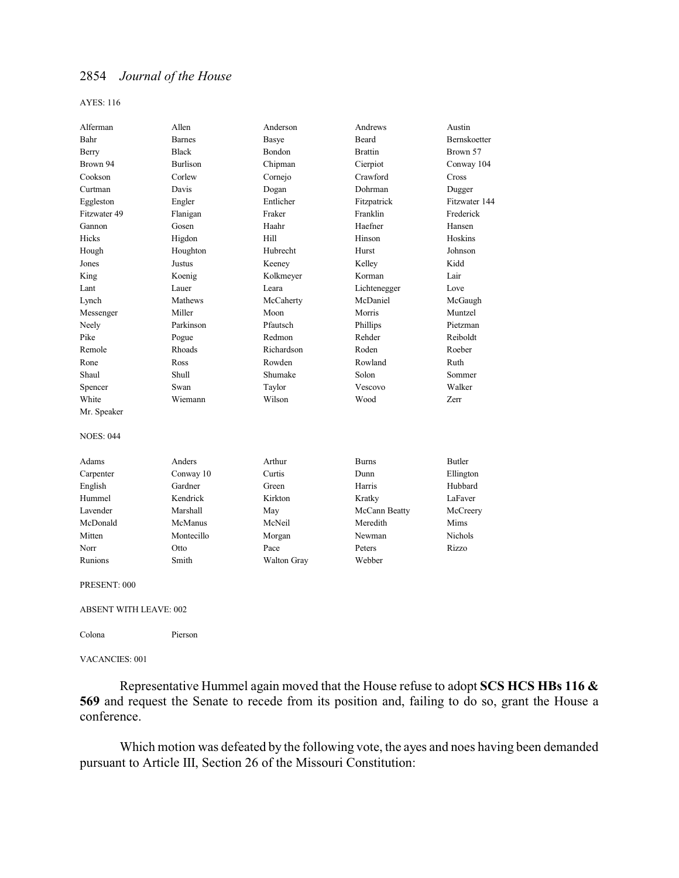AYES: 116

| Alferman                      | Allen           | Anderson    | Andrews        | Austin         |  |
|-------------------------------|-----------------|-------------|----------------|----------------|--|
| Bahr                          | <b>Barnes</b>   | Basye       | Beard          | Bernskoetter   |  |
| Berry                         | <b>Black</b>    | Bondon      | <b>Brattin</b> | Brown 57       |  |
| Brown 94                      | <b>Burlison</b> | Chipman     | Cierpiot       | Conway 104     |  |
| Cookson                       | Corlew          | Cornejo     | Crawford       | Cross          |  |
| Curtman                       | Davis           | Dogan       | Dohrman        | Dugger         |  |
| Eggleston                     | Engler          | Entlicher   | Fitzpatrick    | Fitzwater 144  |  |
| Fitzwater 49                  | Flanigan        | Fraker      | Franklin       | Frederick      |  |
| Gannon                        | Gosen           | Haahr       | Haefner        | Hansen         |  |
| Hicks                         | Higdon          | Hill        | Hinson         | Hoskins        |  |
| Hough                         | Houghton        | Hubrecht    | Hurst          | Johnson        |  |
| Jones                         | Justus          | Keeney      | Kelley         | Kidd           |  |
| King                          | Koenig          | Kolkmeyer   | Korman         | Lair           |  |
| Lant                          | Lauer           | Leara       | Lichtenegger   | Love           |  |
| Lynch                         | Mathews         | McCaherty   | McDaniel       | McGaugh        |  |
| Messenger                     | Miller          | Moon        | Morris         | Muntzel        |  |
| Neely                         | Parkinson       | Pfautsch    | Phillips       | Pietzman       |  |
| Pike                          | Pogue           | Redmon      | Rehder         | Reiboldt       |  |
| Remole                        | Rhoads          | Richardson  | Roden          | Roeber         |  |
| Rone                          | Ross            | Rowden      | Rowland        | Ruth           |  |
| Shaul                         | Shull           | Shumake     | Solon          | Sommer         |  |
| Spencer                       | Swan            | Taylor      | Vescovo        | Walker         |  |
| White                         | Wiemann         | Wilson      | Wood           | Zerr           |  |
| Mr. Speaker                   |                 |             |                |                |  |
| <b>NOES: 044</b>              |                 |             |                |                |  |
| Adams                         | Anders          | Arthur      | <b>Burns</b>   | <b>Butler</b>  |  |
| Carpenter                     | Conway 10       | Curtis      | Dunn           | Ellington      |  |
| English                       | Gardner         | Green       | Harris         | Hubbard        |  |
| Hummel                        | Kendrick        | Kirkton     | Kratky         | LaFaver        |  |
| Lavender                      | Marshall        | May         | McCann Beatty  | McCreery       |  |
| McDonald                      | McManus         | McNeil      | Meredith       | Mims           |  |
| Mitten                        | Montecillo      | Morgan      | Newman         | <b>Nichols</b> |  |
| Norr                          | Otto            | Pace        | Peters         | Rizzo          |  |
| Runions                       | Smith           | Walton Gray | Webber         |                |  |
| PRESENT: 000                  |                 |             |                |                |  |
| <b>ABSENT WITH LEAVE: 002</b> |                 |             |                |                |  |

Colona Pierson

VACANCIES: 001

Representative Hummel again moved that the House refuse to adopt **SCS HCS HBs 116 & 569** and request the Senate to recede from its position and, failing to do so, grant the House a conference.

Which motion was defeated by the following vote, the ayes and noes having been demanded pursuant to Article III, Section 26 of the Missouri Constitution: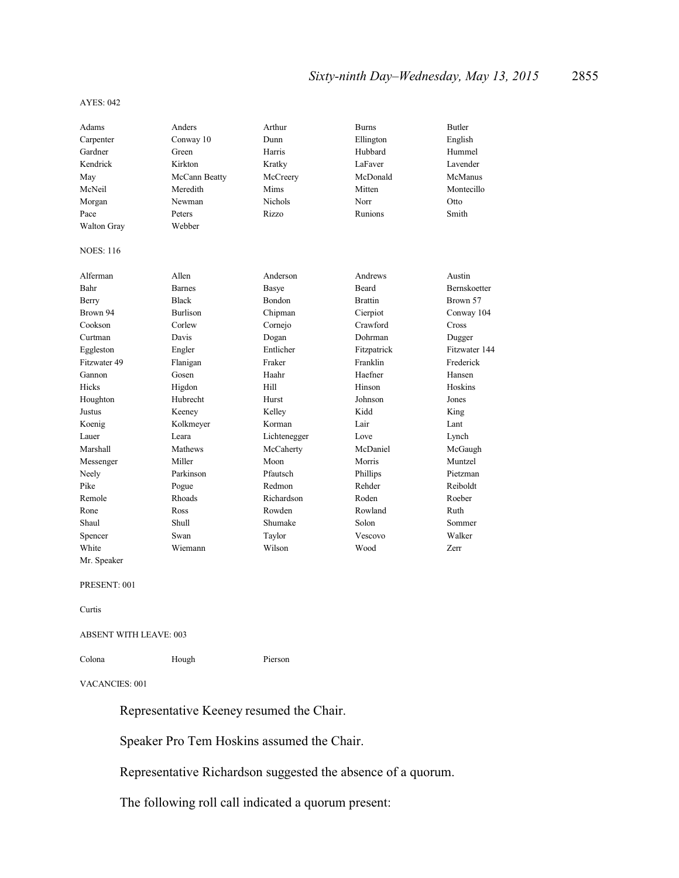### *Sixty-ninth Day–Wednesday, May 13, 2015* 2855

#### AYES: 042

| Adams            | Anders          | Arthur       | <b>Burns</b>   | <b>Butler</b> |
|------------------|-----------------|--------------|----------------|---------------|
| Carpenter        | Conway 10       | Dunn         | Ellington      | English       |
| Gardner          | Green           | Harris       | Hubbard        | Hummel        |
| Kendrick         | Kirkton         | Kratky       | LaFaver        | Lavender      |
| May              | McCann Beatty   | McCreery     | McDonald       | McManus       |
| McNeil           | Meredith        | Mims         | Mitten         | Montecillo    |
| Morgan           | Newman          | Nichols      | Norr           | Otto          |
| Pace             | Peters          | Rizzo        | Runions        | Smith         |
| Walton Gray      | Webber          |              |                |               |
| <b>NOES: 116</b> |                 |              |                |               |
| Alferman         | Allen           | Anderson     | Andrews        | Austin        |
| Bahr             | <b>Barnes</b>   | Basye        | <b>Beard</b>   | Bernskoetter  |
| Berry            | <b>Black</b>    | Bondon       | <b>Brattin</b> | Brown 57      |
| Brown 94         | <b>Burlison</b> | Chipman      | Cierpiot       | Conway 104    |
| Cookson          | Corlew          | Cornejo      | Crawford       | Cross         |
| Curtman          | Davis           | Dogan        | Dohrman        | Dugger        |
| Eggleston        | Engler          | Entlicher    | Fitzpatrick    | Fitzwater 144 |
| Fitzwater 49     | Flanigan        | Fraker       | Franklin       | Frederick     |
| Gannon           | Gosen           | Haahr        | Haefner        | Hansen        |
| <b>Hicks</b>     | Higdon          | Hill         | Hinson         | Hoskins       |
| Houghton         | Hubrecht        | Hurst        | Johnson        | Jones         |
| Justus           | Keeney          | Kelley       | Kidd           | King          |
| Koenig           | Kolkmeyer       | Korman       | Lair           | Lant          |
| Lauer            | Leara           | Lichtenegger | Love           | Lynch         |
| Marshall         | Mathews         | McCaherty    | McDaniel       | McGaugh       |
| Messenger        | Miller          | Moon         | Morris         | Muntzel       |
| Neely            | Parkinson       | Pfautsch     | Phillips       | Pietzman      |
| Pike             | Pogue           | Redmon       | Rehder         | Reiboldt      |
| Remole           | <b>Rhoads</b>   | Richardson   | Roden          | Roeber        |
| Rone             | Ross            | Rowden       | Rowland        | Ruth          |
| Shaul            | Shull           | Shumake      | Solon          | Sommer        |
| Spencer          | Swan            | Taylor       | Vescovo        | Walker        |
| White            | Wiemann         | Wilson       | Wood           | Zerr          |
| Mr. Speaker      |                 |              |                |               |

#### PRESENT: 001

Curtis

#### ABSENT WITH LEAVE: 003

Colona Hough Pierson

#### VACANCIES: 001

Representative Keeney resumed the Chair.

Speaker Pro Tem Hoskins assumed the Chair.

Representative Richardson suggested the absence of a quorum.

The following roll call indicated a quorum present: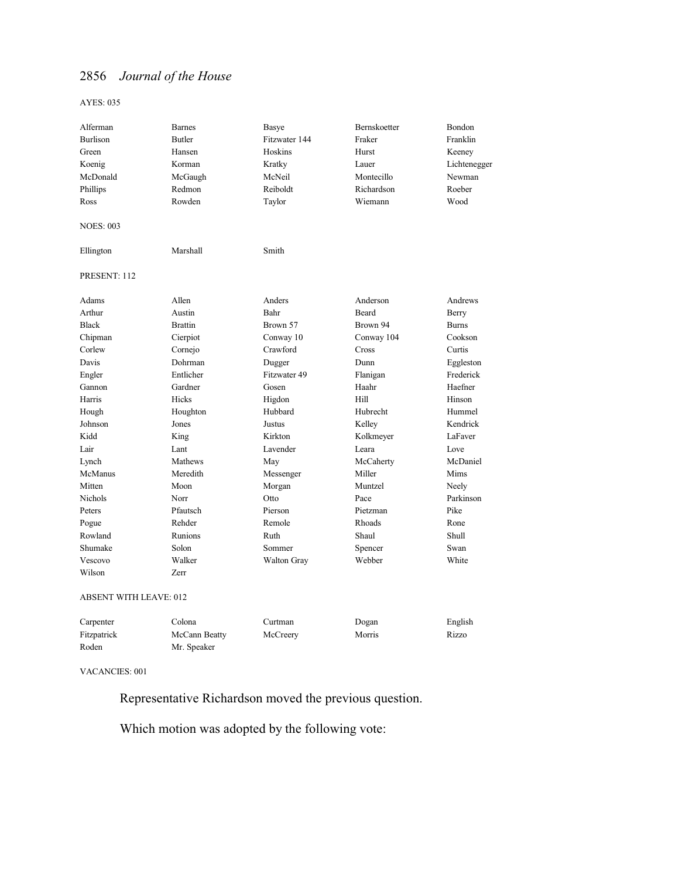AYES: 035

| Alferman                                                | <b>Barnes</b>  | Basye         | Bernskoetter | Bondon       |
|---------------------------------------------------------|----------------|---------------|--------------|--------------|
| <b>Burlison</b>                                         | <b>Butler</b>  | Fitzwater 144 | Fraker       | Franklin     |
| Green                                                   | Hansen         | Hoskins       | Hurst        | Keeney       |
| Koenig                                                  | Korman         | Kratky        | Lauer        | Lichtenegger |
| McDonald                                                | McGaugh        | McNeil        | Montecillo   | Newman       |
| Phillips                                                | Redmon         | Reiboldt      | Richardson   | Roeber       |
| Ross                                                    | Rowden         | Taylor        | Wiemann      | Wood         |
| <b>NOES: 003</b>                                        |                |               |              |              |
| Ellington                                               | Marshall       | Smith         |              |              |
| PRESENT: 112                                            |                |               |              |              |
| Adams                                                   | Allen          | Anders        | Anderson     | Andrews      |
| Arthur                                                  | Austin         | Bahr          | Beard        | Berry        |
| <b>Black</b>                                            | <b>Brattin</b> | Brown 57      | Brown 94     | <b>Burns</b> |
| Chipman                                                 | Cierpiot       | Conway 10     | Conway 104   | Cookson      |
| Corlew                                                  | Cornejo        | Crawford      | Cross        | Curtis       |
| Davis                                                   | Dohrman        | Dugger        | Dunn         | Eggleston    |
| Engler                                                  | Entlicher      | Fitzwater 49  | Flanigan     | Frederick    |
| Gannon                                                  | Gardner        | Gosen         | Haahr        | Haefner      |
| Harris                                                  | Hicks          | Higdon        | Hill         | Hinson       |
| Hough                                                   | Houghton       | Hubbard       | Hubrecht     | Hummel       |
| Johnson                                                 | Jones          | Justus        | Kelley       | Kendrick     |
| Kidd                                                    | King           | Kirkton       | Kolkmeyer    | LaFaver      |
| Lair                                                    | Lant           | Lavender      | Leara        | Love         |
| Lynch                                                   | Mathews        | May           | McCaherty    | McDaniel     |
| <b>McManus</b>                                          | Meredith       | Messenger     | Miller       | Mims         |
| Mitten                                                  | Moon           | Morgan        | Muntzel      | Neely        |
| Nichols                                                 | Norr           | Otto          | Pace         | Parkinson    |
| Peters                                                  | Pfautsch       | Pierson       | Pietzman     | Pike         |
| Pogue                                                   | Rehder         | Remole        | Rhoads       | Rone         |
| Rowland                                                 | Runions        | Ruth          | Shaul        | <b>Shull</b> |
| Shumake                                                 | Solon          | Sommer        | Spencer      | Swan         |
| Vescovo                                                 | Walker         | Walton Gray   | Webber       | White        |
| Wilson                                                  | Zerr           |               |              |              |
| $\triangle$ DCENT WITH $I$ E $\triangle$ VE $\cdot$ 012 |                |               |              |              |

#### ABSENT WITH LEAVE: 012

| Carpenter   | Colona        | Curtman  | Dogan  | English |
|-------------|---------------|----------|--------|---------|
| Fitzpatrick | McCann Beatty | McCreery | Morris | Rizzo   |
| Roden       | Mr. Speaker   |          |        |         |

VACANCIES: 001

Representative Richardson moved the previous question.

Which motion was adopted by the following vote: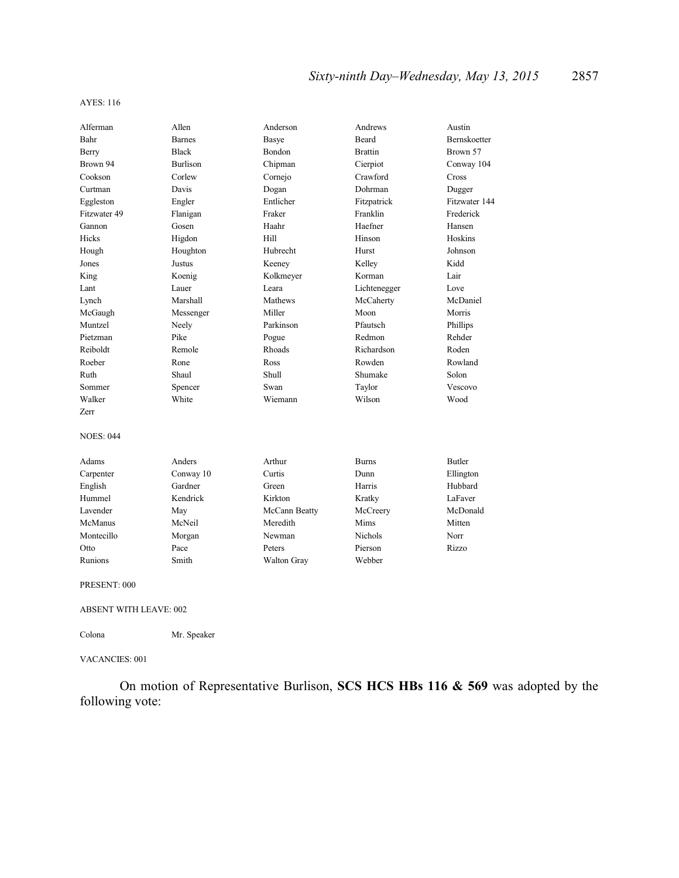| Alferman         | Allen           | Anderson      | Andrews        | Austin        |
|------------------|-----------------|---------------|----------------|---------------|
| Bahr             | <b>Barnes</b>   | Basye         | <b>Beard</b>   | Bernskoetter  |
| Berry            | <b>Black</b>    | Bondon        | <b>Brattin</b> | Brown 57      |
| Brown 94         | <b>Burlison</b> | Chipman       | Cierpiot       | Conway 104    |
| Cookson          | Corlew          | Cornejo       | Crawford       | Cross         |
| Curtman          | Davis           | Dogan         | Dohrman        | Dugger        |
| Eggleston        | Engler          | Entlicher     | Fitzpatrick    | Fitzwater 144 |
| Fitzwater 49     | Flanigan        | Fraker        | Franklin       | Frederick     |
| Gannon           | Gosen           | Haahr         | Haefner        | Hansen        |
| Hicks            | Higdon          | Hill          | Hinson         | Hoskins       |
| Hough            | Houghton        | Hubrecht      | Hurst          | Johnson       |
| Jones            | Justus          | Keeney        | Kelley         | Kidd          |
| King             | Koenig          | Kolkmeyer     | Korman         | Lair          |
| Lant             | Lauer           | Leara         | Lichtenegger   | Love          |
| Lynch            | Marshall        | Mathews       | McCaherty      | McDaniel      |
| McGaugh          | Messenger       | Miller        | Moon           | Morris        |
| Muntzel          | Neely           | Parkinson     | Pfautsch       | Phillips      |
| Pietzman         | Pike            | Pogue         | Redmon         | Rehder        |
| Reiboldt         | Remole          | Rhoads        | Richardson     | Roden         |
| Roeber           | Rone            | Ross          | Rowden         | Rowland       |
| Ruth             | Shaul           | Shull         | Shumake        | Solon         |
| Sommer           | Spencer         | Swan          | Taylor         | Vescovo       |
| Walker           | White           | Wiemann       | Wilson         | Wood          |
| Zerr             |                 |               |                |               |
| <b>NOES: 044</b> |                 |               |                |               |
|                  |                 |               |                |               |
| Adams            | Anders          | Arthur        | <b>Burns</b>   | <b>Butler</b> |
| Carpenter        | Conway 10       | Curtis        | Dunn           | Ellington     |
| English          | Gardner         | Green         | Harris         | Hubbard       |
| Hummel           | Kendrick        | Kirkton       | Kratky         | LaFaver       |
| Lavender         | May             | McCann Beatty | McCreery       | McDonald      |
| McManus          | McNeil          | Meredith      | Mims           | Mitten        |
| Montecillo       | Morgan          | Newman        | Nichols        | Norr          |
| Otto             | Pace            | Peters        | Pierson        | Rizzo         |
| Runions          | Smith           | Walton Gray   | Webber         |               |
| PRESENT: 000     |                 |               |                |               |

ABSENT WITH LEAVE: 002

Colona Mr. Speaker

VACANCIES: 001

On motion of Representative Burlison, **SCS HCS HBs 116 & 569** was adopted by the following vote: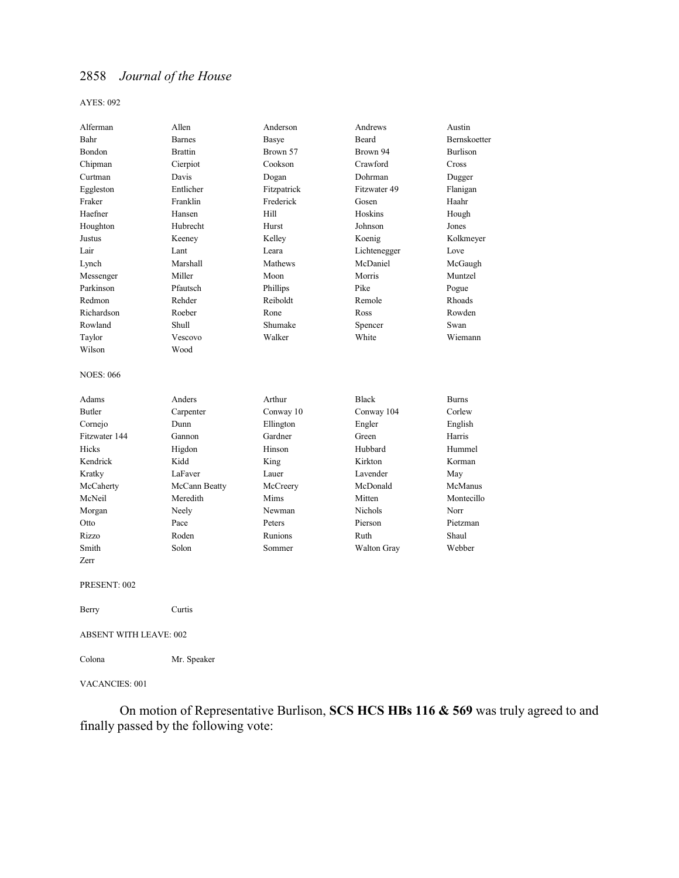#### AYES: 092

| Alferman                      | Allen          | Anderson    | Andrews            | Austin          |
|-------------------------------|----------------|-------------|--------------------|-----------------|
| Bahr                          | <b>Barnes</b>  | Basye       | Beard              | Bernskoetter    |
| Bondon                        | <b>Brattin</b> | Brown 57    | Brown 94           | <b>Burlison</b> |
| Chipman                       | Cierpiot       | Cookson     | Crawford           | Cross           |
| Curtman                       | Davis          | Dogan       | Dohrman            | Dugger          |
| Eggleston                     | Entlicher      | Fitzpatrick | Fitzwater 49       | Flanigan        |
| Fraker                        | Franklin       | Frederick   | Gosen              | Haahr           |
| Haefner                       | Hansen         | Hill        | Hoskins            | Hough           |
| Houghton                      | Hubrecht       | Hurst       | Johnson            | Jones           |
| Justus                        | Keeney         | Kelley      | Koenig             | Kolkmeyer       |
| Lair                          | Lant           | Leara       | Lichtenegger       | Love            |
| Lynch                         | Marshall       | Mathews     | McDaniel           | McGaugh         |
| Messenger                     | Miller         | Moon        | Morris             | Muntzel         |
| Parkinson                     | Pfautsch       | Phillips    | Pike               | Pogue           |
| Redmon                        | Rehder         | Reiboldt    | Remole             | <b>Rhoads</b>   |
| Richardson                    | Roeber         | Rone        | Ross               | Rowden          |
| Rowland                       | Shull          | Shumake     | Spencer            | Swan            |
| Taylor                        | Vescovo        | Walker      | White              | Wiemann         |
| Wilson                        | Wood           |             |                    |                 |
| <b>NOES: 066</b>              |                |             |                    |                 |
| Adams                         | Anders         | Arthur      | <b>Black</b>       | <b>Burns</b>    |
| <b>Butler</b>                 | Carpenter      | Conway 10   | Conway 104         | Corlew          |
| Cornejo                       | Dunn           | Ellington   | Engler             | English         |
| Fitzwater 144                 | Gannon         | Gardner     | Green              | Harris          |
| <b>Hicks</b>                  | Higdon         | Hinson      | Hubbard            | Hummel          |
| Kendrick                      | Kidd           | King        | Kirkton            | Korman          |
| Kratky                        | LaFaver        | Lauer       | Lavender           | May             |
| McCaherty                     | McCann Beatty  | McCreery    | McDonald           | McManus         |
| McNeil                        | Meredith       | Mims        | Mitten             | Montecillo      |
| Morgan                        | Neely          | Newman      | <b>Nichols</b>     | Norr            |
| Otto                          | Pace           | Peters      | Pierson            | Pietzman        |
| Rizzo                         | Roden          | Runions     | Ruth               | Shaul           |
| Smith                         | Solon          | Sommer      | <b>Walton Gray</b> | Webber          |
| Zerr                          |                |             |                    |                 |
| PRESENT: 002                  |                |             |                    |                 |
| Berry                         | Curtis         |             |                    |                 |
| <b>ABSENT WITH LEAVE: 002</b> |                |             |                    |                 |

Colona Mr. Speaker

### VACANCIES: 001

On motion of Representative Burlison, **SCS HCS HBs 116 & 569** was truly agreed to and finally passed by the following vote: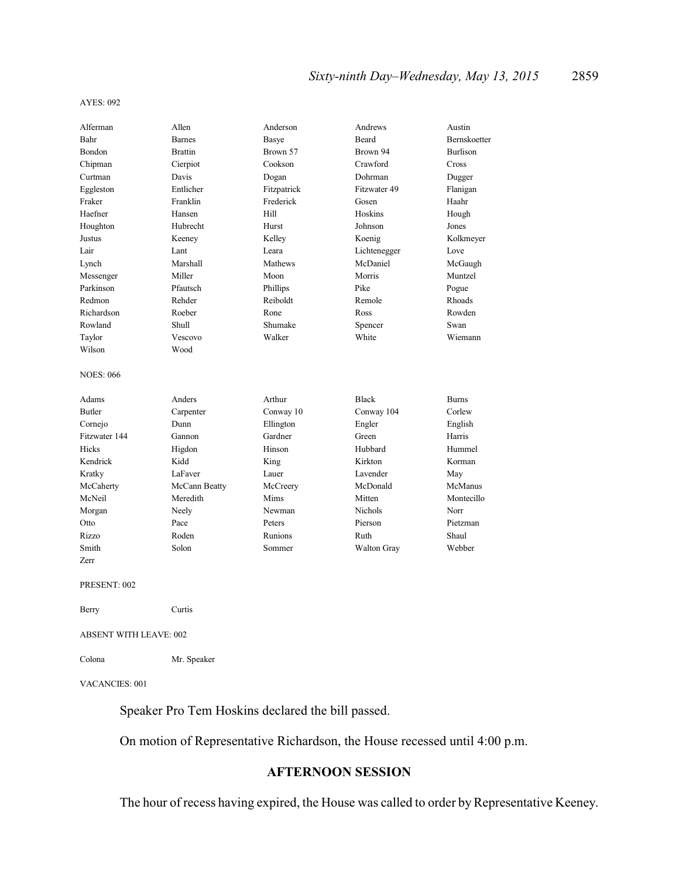| Alferman                      | Allen          | Anderson       | Andrews      | Austin          |
|-------------------------------|----------------|----------------|--------------|-----------------|
| Bahr                          | <b>Barnes</b>  | Basye          | <b>Beard</b> | Bernskoetter    |
| Bondon                        | <b>Brattin</b> | Brown 57       | Brown 94     | <b>Burlison</b> |
| Chipman                       | Cierpiot       | Cookson        | Crawford     | Cross           |
| Curtman                       | Davis          | Dogan          | Dohrman      | Dugger          |
| Eggleston                     | Entlicher      | Fitzpatrick    | Fitzwater 49 | Flanigan        |
| Fraker                        | Franklin       | Frederick      | Gosen        | Haahr           |
| Haefner                       | Hansen         | Hill           | Hoskins      | Hough           |
| Houghton                      | Hubrecht       | Hurst          | Johnson      | Jones           |
| Justus                        | Keeney         | Kelley         | Koenig       | Kolkmeyer       |
| Lair                          | Lant           | Leara          | Lichtenegger | Love            |
| Lynch                         | Marshall       | <b>Mathews</b> | McDaniel     | McGaugh         |
| Messenger                     | Miller         | Moon           | Morris       | Muntzel         |
| Parkinson                     | Pfautsch       | Phillips       | Pike         | Pogue           |
| Redmon                        | Rehder         | Reiboldt       | Remole       | Rhoads          |
| Richardson                    | Roeber         | Rone           | Ross         | Rowden          |
| Rowland                       | Shull          | Shumake        | Spencer      | Swan            |
| Taylor                        | Vescovo        | Walker         | White        | Wiemann         |
| Wilson                        | Wood           |                |              |                 |
| <b>NOES: 066</b>              |                |                |              |                 |
| Adams                         | Anders         | Arthur         | <b>Black</b> | <b>Burns</b>    |
| <b>Butler</b>                 | Carpenter      | Conway 10      | Conway 104   | Corlew          |
| Cornejo                       | Dunn           | Ellington      | Engler       | English         |
| Fitzwater 144                 | Gannon         | Gardner        | Green        | Harris          |
| Hicks                         | Higdon         | Hinson         | Hubbard      | Hummel          |
| Kendrick                      | Kidd           | King           | Kirkton      | Korman          |
| Kratky                        | LaFaver        | Lauer          | Lavender     | May             |
| McCaherty                     | McCann Beatty  | McCreery       | McDonald     | <b>McManus</b>  |
| McNeil                        | Meredith       | Mims           | Mitten       | Montecillo      |
| Morgan                        | Neely          | Newman         | Nichols      | Norr            |
| Otto                          | Pace           | Peters         | Pierson      | Pietzman        |
| Rizzo                         | Roden          | Runions        | Ruth         | Shaul           |
| Smith                         | Solon          | Sommer         | Walton Gray  | Webber          |
| Zerr                          |                |                |              |                 |
| PRESENT: 002                  |                |                |              |                 |
| Berry                         | Curtis         |                |              |                 |
| <b>ABSENT WITH LEAVE: 002</b> |                |                |              |                 |

Colona Mr. Speaker

VACANCIES: 001

Speaker Pro Tem Hoskins declared the bill passed.

On motion of Representative Richardson, the House recessed until 4:00 p.m.

### **AFTERNOON SESSION**

The hour of recess having expired, the House was called to order by Representative Keeney.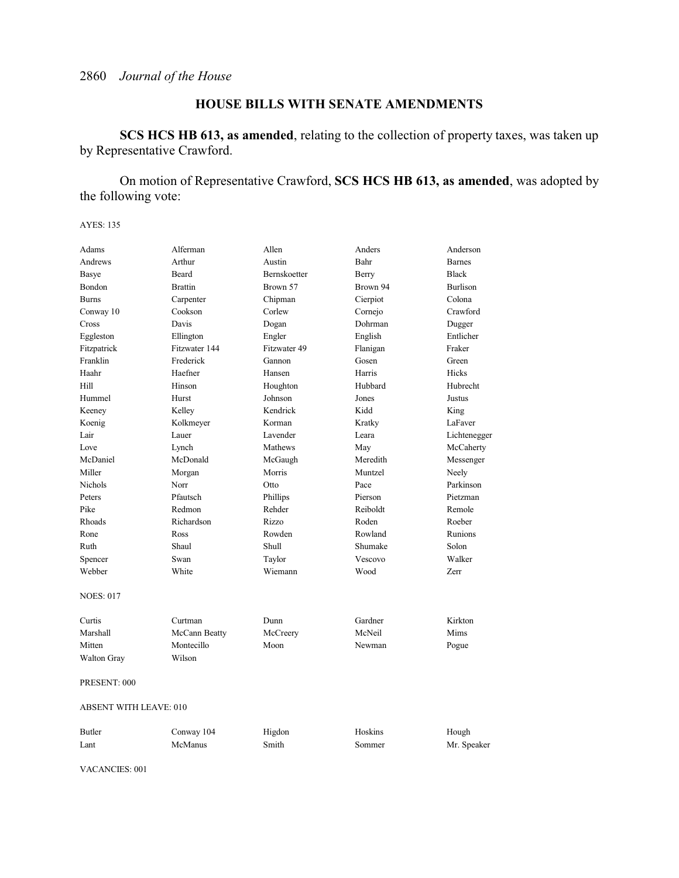## **HOUSE BILLS WITH SENATE AMENDMENTS**

**SCS HCS HB 613, as amended**, relating to the collection of property taxes, was taken up by Representative Crawford.

On motion of Representative Crawford, **SCS HCS HB 613, as amended**, was adopted by the following vote:

AYES: 135

| Adams                         | Alferman       | Allen        | Anders   | Anderson        |
|-------------------------------|----------------|--------------|----------|-----------------|
| Andrews                       | Arthur         | Austin       | Bahr     | <b>Barnes</b>   |
| <b>Basye</b>                  | Beard          | Bernskoetter | Berry    | <b>Black</b>    |
| Bondon                        | <b>Brattin</b> | Brown 57     | Brown 94 | <b>Burlison</b> |
| <b>Burns</b>                  | Carpenter      | Chipman      | Cierpiot | Colona          |
| Conway 10                     | Cookson        | Corlew       | Cornejo  | Crawford        |
| Cross                         | Davis          | Dogan        | Dohrman  | Dugger          |
| Eggleston                     | Ellington      | Engler       | English  | Entlicher       |
| Fitzpatrick                   | Fitzwater 144  | Fitzwater 49 | Flanigan | Fraker          |
| Franklin                      | Frederick      | Gannon       | Gosen    | Green           |
| Haahr                         | Haefner        | Hansen       | Harris   | <b>Hicks</b>    |
| Hill                          | Hinson         | Houghton     | Hubbard  | Hubrecht        |
| Hummel                        | Hurst          | Johnson      | Jones    | Justus          |
| Keeney                        | Kelley         | Kendrick     | Kidd     | King            |
| Koenig                        | Kolkmeyer      | Korman       | Kratky   | LaFaver         |
| Lair                          | Lauer          | Lavender     | Leara    | Lichtenegger    |
| Love                          | Lynch          | Mathews      | May      | McCaherty       |
| McDaniel                      | McDonald       | McGaugh      | Meredith | Messenger       |
| Miller                        | Morgan         | Morris       | Muntzel  | Neely           |
| <b>Nichols</b>                | Norr           | Otto         | Pace     | Parkinson       |
| Peters                        | Pfautsch       | Phillips     | Pierson  | Pietzman        |
| Pike                          | Redmon         | Rehder       | Reiboldt | Remole          |
| Rhoads                        | Richardson     | Rizzo        | Roden    | Roeber          |
| Rone                          | Ross           | Rowden       | Rowland  | Runions         |
| Ruth                          | Shaul          | <b>Shull</b> | Shumake  | Solon           |
| Spencer                       | Swan           | Taylor       | Vescovo  | Walker          |
| Webber                        | White          | Wiemann      | Wood     | Zerr            |
| <b>NOES: 017</b>              |                |              |          |                 |
| Curtis                        | Curtman        | Dunn         | Gardner  | Kirkton         |
| Marshall                      | McCann Beatty  | McCreery     | McNeil   | Mims            |
| Mitten                        | Montecillo     | Moon         | Newman   | Pogue           |
| <b>Walton Gray</b>            | Wilson         |              |          |                 |
| PRESENT: 000                  |                |              |          |                 |
| <b>ABSENT WITH LEAVE: 010</b> |                |              |          |                 |
| Butler                        | Conway 104     | Higdon       | Hoskins  | Hough           |
| Lant                          | McManus        | Smith        | Sommer   | Mr. Speaker     |

VACANCIES: 001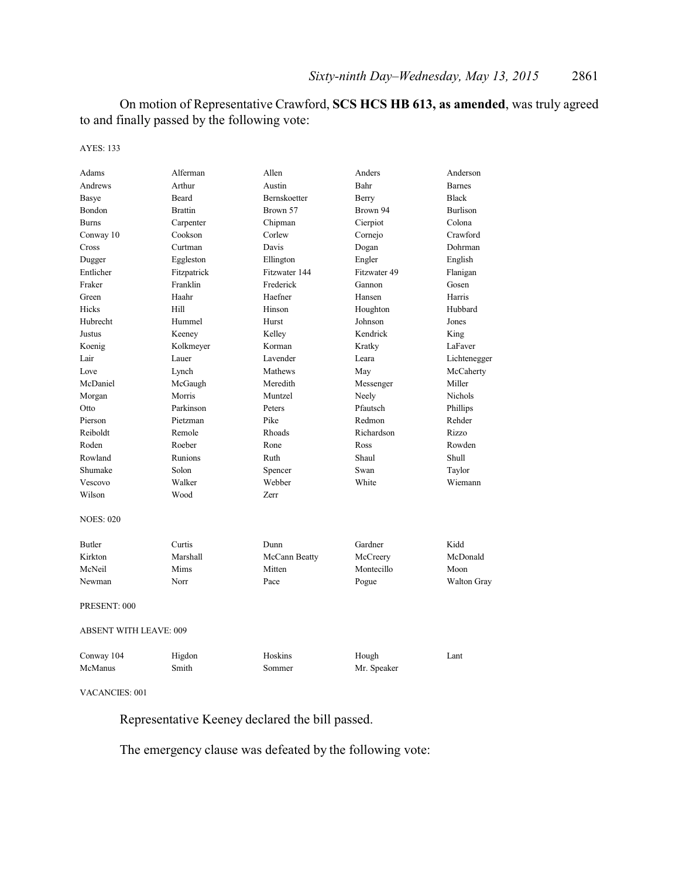On motion of Representative Crawford, **SCS HCS HB 613, as amended**, was truly agreed to and finally passed by the following vote:

#### AYES: 133

| Adams                         | Alferman       | Allen         | Anders       | Anderson           |
|-------------------------------|----------------|---------------|--------------|--------------------|
| Andrews                       | Arthur         | Austin        | Bahr         | <b>Barnes</b>      |
| <b>Basye</b>                  | <b>Beard</b>   | Bernskoetter  | Berry        | <b>Black</b>       |
| Bondon                        | <b>Brattin</b> | Brown 57      | Brown 94     | <b>Burlison</b>    |
| <b>Burns</b>                  | Carpenter      | Chipman       | Cierpiot     | Colona             |
| Conway 10                     | Cookson        | Corlew        | Cornejo      | Crawford           |
| Cross                         | Curtman        | Davis         | Dogan        | Dohrman            |
| Dugger                        | Eggleston      | Ellington     | Engler       | English            |
| Entlicher                     | Fitzpatrick    | Fitzwater 144 | Fitzwater 49 | Flanigan           |
| Fraker                        | Franklin       | Frederick     | Gannon       | Gosen              |
| Green                         | Haahr          | Haefner       | Hansen       | Harris             |
| <b>Hicks</b>                  | Hill           | Hinson        | Houghton     | Hubbard            |
| Hubrecht                      | Hummel         | Hurst         | Johnson      | Jones              |
| Justus                        | Keeney         | Kelley        | Kendrick     | King               |
| Koenig                        | Kolkmeyer      | Korman        | Kratky       | LaFaver            |
| Lair                          | Lauer          | Lavender      | Leara        | Lichtenegger       |
| Love                          | Lynch          | Mathews       | May          | McCaherty          |
| McDaniel                      | McGaugh        | Meredith      | Messenger    | Miller             |
| Morgan                        | Morris         | Muntzel       | Neely        | <b>Nichols</b>     |
| Otto                          | Parkinson      | Peters        | Pfautsch     | Phillips           |
| Pierson                       | Pietzman       | Pike          | Redmon       | Rehder             |
| Reiboldt                      | Remole         | Rhoads        | Richardson   | Rizzo              |
| Roden                         | Roeber         | Rone          | Ross         | Rowden             |
| Rowland                       | Runions        | Ruth          | Shaul        | Shull              |
| Shumake                       | Solon          | Spencer       | Swan         | Taylor             |
| Vescovo                       | Walker         | Webber        | White        | Wiemann            |
| Wilson                        | Wood           | Zerr          |              |                    |
| <b>NOES: 020</b>              |                |               |              |                    |
| <b>Butler</b>                 | Curtis         | Dunn          | Gardner      | Kidd               |
| Kirkton                       | Marshall       | McCann Beatty | McCreery     | McDonald           |
| McNeil                        | Mims           | Mitten        | Montecillo   | Moon               |
| Newman                        | Norr           | Pace          | Pogue        | <b>Walton Gray</b> |
| PRESENT: 000                  |                |               |              |                    |
| <b>ABSENT WITH LEAVE: 009</b> |                |               |              |                    |
| Conway 104                    | Higdon         | Hoskins       | Hough        | Lant               |
| McManus                       | Smith          | Sommer        | Mr. Speaker  |                    |
| <b>VACANCIES: 001</b>         |                |               |              |                    |

Representative Keeney declared the bill passed.

The emergency clause was defeated by the following vote: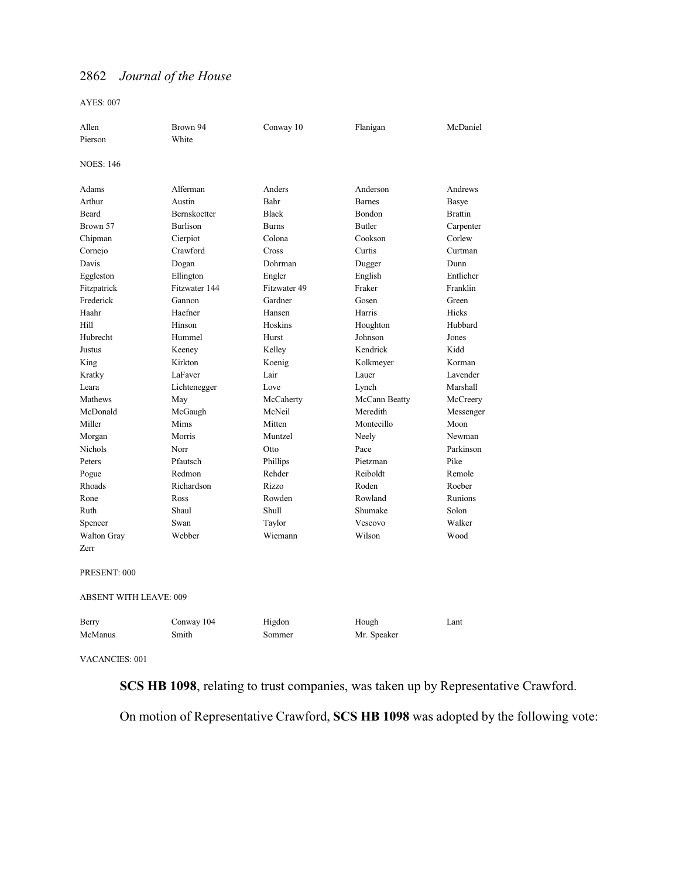AYES: 007

| Allen                         | Brown 94        | Conway 10    | Flanigan      | McDaniel       |
|-------------------------------|-----------------|--------------|---------------|----------------|
| Pierson                       | White           |              |               |                |
|                               |                 |              |               |                |
| <b>NOES: 146</b>              |                 |              |               |                |
| Adams                         | Alferman        | Anders       | Anderson      | Andrews        |
| Arthur                        | Austin          | Bahr         | <b>Barnes</b> | Basye          |
| Beard                         | Bernskoetter    | <b>Black</b> | Bondon        | <b>Brattin</b> |
| Brown 57                      | <b>Burlison</b> | <b>Burns</b> | <b>Butler</b> | Carpenter      |
| Chipman                       | Cierpiot        | Colona       | Cookson       | Corlew         |
| Cornejo                       | Crawford        | Cross        | Curtis        | Curtman        |
| Davis                         | Dogan           | Dohrman      | Dugger        | Dunn           |
| Eggleston                     | Ellington       | Engler       | English       | Entlicher      |
| Fitzpatrick                   | Fitzwater 144   | Fitzwater 49 | Fraker        | Franklin       |
| Frederick                     | Gannon          | Gardner      | Gosen         | Green          |
| Haahr                         | Haefner         | Hansen       | Harris        | Hicks          |
| Hill                          | Hinson          | Hoskins      | Houghton      | Hubbard        |
| Hubrecht                      | Hummel          | Hurst        | Johnson       | Jones          |
| Justus                        | Keeney          | Kelley       | Kendrick      | Kidd           |
| King                          | Kirkton         | Koenig       | Kolkmeyer     | Korman         |
| Kratky                        | LaFaver         | Lair         | Lauer         | Lavender       |
| Leara                         | Lichtenegger    | Love         | Lynch         | Marshall       |
| Mathews                       | May             | McCaherty    | McCann Beatty | McCreery       |
| McDonald                      | McGaugh         | McNeil       | Meredith      | Messenger      |
| Miller                        | Mims            | Mitten       | Montecillo    | Moon           |
| Morgan                        | Morris          | Muntzel      | Neely         | Newman         |
| <b>Nichols</b>                | Norr            | Otto         | Pace          | Parkinson      |
| Peters                        | Pfautsch        | Phillips     | Pietzman      | Pike           |
| Pogue                         | Redmon          | Rehder       | Reiboldt      | Remole         |
| Rhoads                        | Richardson      | Rizzo        | Roden         | Roeber         |
| Rone                          | Ross            | Rowden       | Rowland       | Runions        |
| Ruth                          | Shaul           | Shull        | Shumake       | Solon          |
| Spencer                       | Swan            | Taylor       | Vescovo       | Walker         |
| <b>Walton Gray</b>            | Webber          | Wiemann      | Wilson        | Wood           |
| Zerr                          |                 |              |               |                |
| PRESENT: 000                  |                 |              |               |                |
| <b>ABSENT WITH LEAVE: 009</b> |                 |              |               |                |
| Berry                         | Conway 104      | Higdon       | Hough         | Lant           |
| McManus                       | Smith           | Sommer       | Mr. Speaker   |                |
|                               |                 |              |               |                |

VACANCIES: 001

**SCS HB 1098**, relating to trust companies, was taken up by Representative Crawford.

On motion of Representative Crawford, **SCS HB 1098** was adopted by the following vote: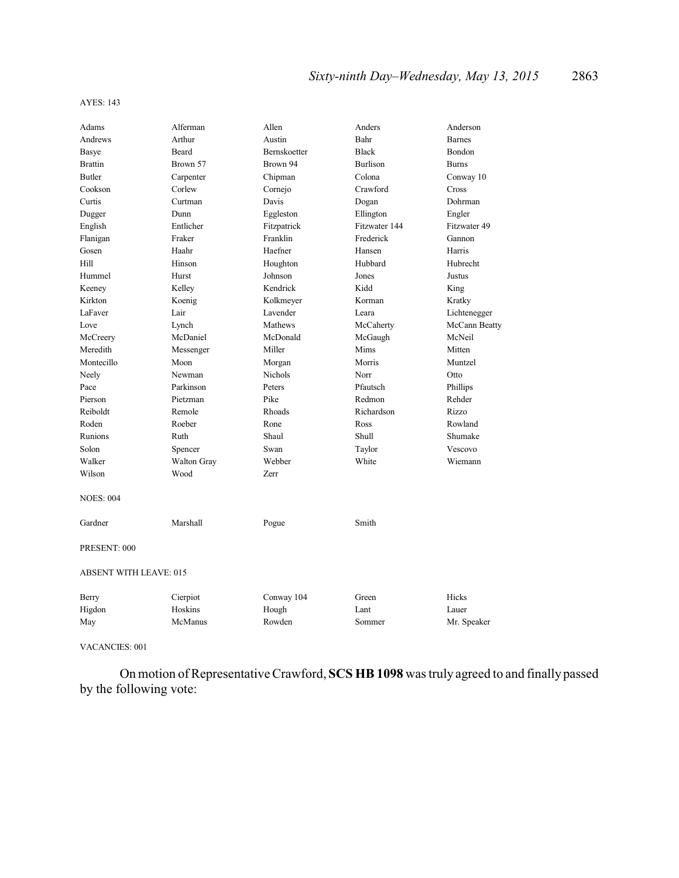| Adams                         | Alferman    | Allen        | Anders          | Anderson      |  |
|-------------------------------|-------------|--------------|-----------------|---------------|--|
| Andrews                       | Arthur      | Austin       | Bahr            | <b>Barnes</b> |  |
| Basye                         | Beard       | Bernskoetter | <b>Black</b>    | Bondon        |  |
| <b>Brattin</b>                | Brown 57    | Brown 94     | <b>Burlison</b> | <b>Burns</b>  |  |
| <b>Butler</b>                 | Carpenter   | Chipman      | Colona          | Conway 10     |  |
| Cookson                       | Corlew      | Cornejo      | Crawford        | Cross         |  |
| Curtis                        | Curtman     | Davis        | Dogan           | Dohrman       |  |
| Dugger                        | Dunn        | Eggleston    | Ellington       | Engler        |  |
| English                       | Entlicher   | Fitzpatrick  | Fitzwater 144   | Fitzwater 49  |  |
| Flanigan                      | Fraker      | Franklin     | Frederick       | Gannon        |  |
| Gosen                         | Haahr       | Haefner      | Hansen          | Harris        |  |
| Hill                          | Hinson      | Houghton     | Hubbard         | Hubrecht      |  |
| Hummel                        | Hurst       | Johnson      | Jones           | Justus        |  |
| Keeney                        | Kelley      | Kendrick     | Kidd            | King          |  |
| Kirkton                       | Koenig      | Kolkmeyer    | Korman          | Kratky        |  |
| LaFaver                       | Lair        | Lavender     | Leara           | Lichtenegger  |  |
| Love                          | Lynch       | Mathews      | McCaherty       | McCann Beatty |  |
| McCreery                      | McDaniel    | McDonald     | McGaugh         | McNeil        |  |
| Meredith                      | Messenger   | Miller       | Mims            | Mitten        |  |
| Montecillo                    | Moon        | Morgan       | Morris          | Muntzel       |  |
| Neely                         | Newman      | Nichols      | Norr            | Otto          |  |
| Pace                          | Parkinson   | Peters       | Pfautsch        | Phillips      |  |
| Pierson                       | Pietzman    | Pike         | Redmon          | Rehder        |  |
| Reiboldt                      | Remole      | Rhoads       | Richardson      | Rizzo         |  |
| Roden                         | Roeber      | Rone         | Ross            | Rowland       |  |
| Runions                       | Ruth        | Shaul        | Shull           | Shumake       |  |
| Solon                         | Spencer     | Swan         | Taylor          | Vescovo       |  |
| Walker                        | Walton Gray | Webber       | White           | Wiemann       |  |
| Wilson                        | Wood        | Zerr         |                 |               |  |
| <b>NOES: 004</b>              |             |              |                 |               |  |
| Gardner                       | Marshall    | Pogue        | Smith           |               |  |
| PRESENT: 000                  |             |              |                 |               |  |
| <b>ABSENT WITH LEAVE: 015</b> |             |              |                 |               |  |
| Berry                         | Cierpiot    | Conway 104   | Green           | Hicks         |  |
| Higdon                        | Hoskins     | Hough        | Lant            | Lauer         |  |
| May                           | McManus     | Rowden       | Sommer          | Mr. Speaker   |  |

VACANCIES: 001

On motion of Representative Crawford, **SCS HB 1098** was truly agreed to and finally passed by the following vote: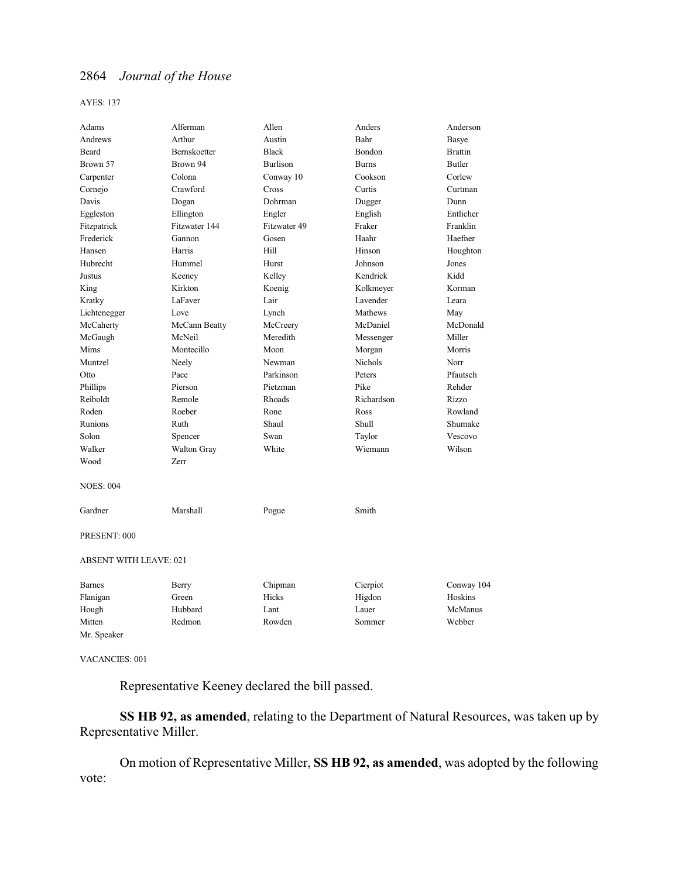AYES: 137

| Adams                         | Alferman            | Allen           | Anders       | Anderson       |
|-------------------------------|---------------------|-----------------|--------------|----------------|
| Andrews                       | Arthur              | Austin          | Bahr         | Basye          |
| Beard                         | <b>Bernskoetter</b> | <b>Black</b>    | Bondon       | <b>Brattin</b> |
| Brown 57                      | Brown 94            | <b>Burlison</b> | <b>Burns</b> | Butler         |
| Carpenter                     | Colona              | Conway 10       | Cookson      | Corlew         |
| Cornejo                       | Crawford            | Cross           | Curtis       | Curtman        |
| Davis                         | Dogan               | Dohrman         | Dugger       | Dunn           |
| Eggleston                     | Ellington           | Engler          | English      | Entlicher      |
| Fitzpatrick                   | Fitzwater 144       | Fitzwater 49    | Fraker       | Franklin       |
| Frederick                     | Gannon              | Gosen           | Haahr        | Haefner        |
| Hansen                        | Harris              | Hill            | Hinson       | Houghton       |
| Hubrecht                      | Hummel              | Hurst           | Johnson      | Jones          |
| Justus                        | Keeney              | Kelley          | Kendrick     | Kidd           |
| King                          | Kirkton             | Koenig          | Kolkmeyer    | Korman         |
| Kratky                        | LaFaver             | Lair            | Lavender     | Leara          |
| Lichtenegger                  | Love                | Lynch           | Mathews      | May            |
| McCaherty                     | McCann Beatty       | McCreery        | McDaniel     | McDonald       |
| McGaugh                       | McNeil              | Meredith        | Messenger    | Miller         |
| Mims                          | Montecillo          | Moon            | Morgan       | Morris         |
| Muntzel                       | Neely               | Newman          | Nichols      | Norr           |
| Otto                          | Pace                | Parkinson       | Peters       | Pfautsch       |
| Phillips                      | Pierson             | Pietzman        | Pike         | Rehder         |
| Reiboldt                      | Remole              | Rhoads          | Richardson   | Rizzo          |
| Roden                         | Roeber              | Rone            | Ross         | Rowland        |
| Runions                       | Ruth                | Shaul           | Shull        | Shumake        |
| Solon                         | Spencer             | Swan            | Taylor       | Vescovo        |
| Walker                        | Walton Gray         | White           | Wiemann      | Wilson         |
| Wood                          | Zerr                |                 |              |                |
| <b>NOES: 004</b>              |                     |                 |              |                |
| Gardner                       | Marshall            | Pogue           | Smith        |                |
| PRESENT: 000                  |                     |                 |              |                |
| <b>ABSENT WITH LEAVE: 021</b> |                     |                 |              |                |
| <b>Barnes</b>                 | Berry               | Chipman         | Cierpiot     | Conway 104     |
| Flanigan                      | Green               | Hicks           | Higdon       | Hoskins        |
| Hough                         | Hubbard             | Lant            | Lauer        | McManus        |
| Mitten                        | Redmon              | Rowden          | Sommer       | Webber         |
| Mr. Speaker                   |                     |                 |              |                |

VACANCIES: 001

Representative Keeney declared the bill passed.

**SS HB 92, as amended**, relating to the Department of Natural Resources, was taken up by Representative Miller.

On motion of Representative Miller, **SS HB 92, as amended**, was adopted by the following vote: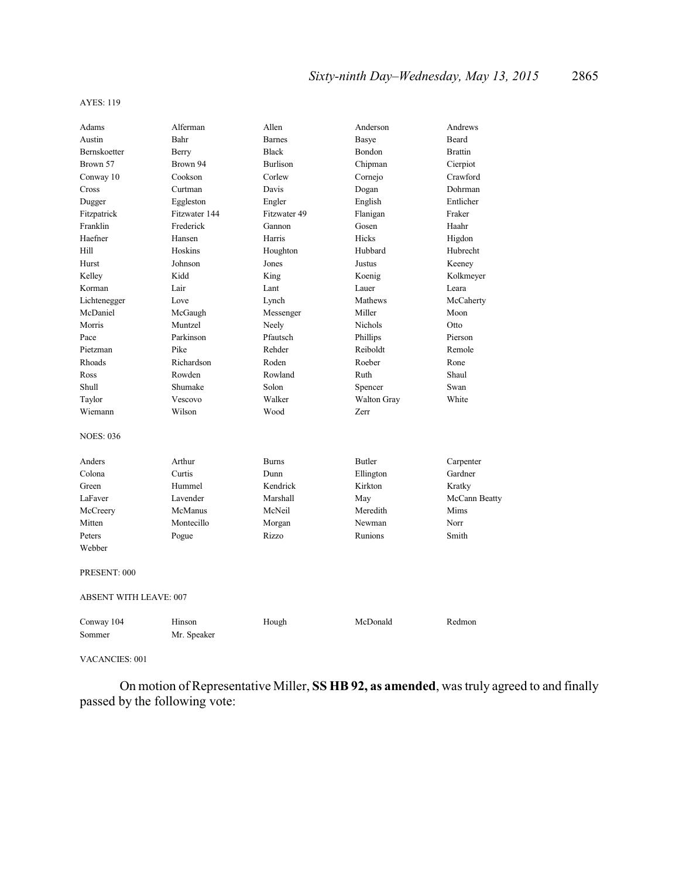| Adams                         | Alferman      | Allen           | Anderson      | Andrews        |
|-------------------------------|---------------|-----------------|---------------|----------------|
| Austin                        | Bahr          | <b>Barnes</b>   | <b>Basye</b>  | <b>Beard</b>   |
| Bernskoetter                  | Berry         | <b>Black</b>    | Bondon        | <b>Brattin</b> |
| Brown 57                      | Brown 94      | <b>Burlison</b> | Chipman       | Cierpiot       |
| Conway 10                     | Cookson       | Corlew          | Cornejo       | Crawford       |
| Cross                         | Curtman       | Davis           | Dogan         | Dohrman        |
| Dugger                        | Eggleston     | Engler          | English       | Entlicher      |
| Fitzpatrick                   | Fitzwater 144 | Fitzwater 49    | Flanigan      | Fraker         |
| Franklin                      | Frederick     | Gannon          | Gosen         | Haahr          |
| Haefner                       | Hansen        | Harris          | Hicks         | Higdon         |
| Hill                          | Hoskins       | Houghton        | Hubbard       | Hubrecht       |
| Hurst                         | Johnson       | Jones           | Justus        | Keeney         |
| Kelley                        | Kidd          | King            | Koenig        | Kolkmeyer      |
| Korman                        | Lair          | Lant            | Lauer         | Leara          |
| Lichtenegger                  | Love          | Lynch           | Mathews       | McCaherty      |
| McDaniel                      | McGaugh       | Messenger       | Miller        | Moon           |
| Morris                        | Muntzel       | Neely           | Nichols       | Otto           |
| Pace                          | Parkinson     | Pfautsch        | Phillips      | Pierson        |
| Pietzman                      | Pike          | Rehder          | Reiboldt      | Remole         |
| Rhoads                        | Richardson    | Roden           | Roeber        | Rone           |
| Ross                          | Rowden        | Rowland         | Ruth          | Shaul          |
| Shull                         | Shumake       | Solon           | Spencer       | Swan           |
| Taylor                        | Vescovo       | Walker          | Walton Gray   | White          |
| Wiemann                       | Wilson        | Wood            | Zerr          |                |
| <b>NOES: 036</b>              |               |                 |               |                |
| Anders                        | Arthur        | <b>Burns</b>    | <b>Butler</b> | Carpenter      |
| Colona                        | Curtis        | Dunn            | Ellington     | Gardner        |
| Green                         | Hummel        | Kendrick        | Kirkton       | Kratky         |
| LaFaver                       | Lavender      | Marshall        | May           | McCann Beatty  |
| McCreery                      | McManus       | McNeil          | Meredith      | Mims           |
| Mitten                        | Montecillo    | Morgan          | Newman        | Norr           |
| Peters                        | Pogue         | Rizzo           | Runions       | Smith          |
| Webber                        |               |                 |               |                |
| PRESENT: 000                  |               |                 |               |                |
| <b>ABSENT WITH LEAVE: 007</b> |               |                 |               |                |
| Conway 104                    | Hinson        | Hough           | McDonald      | Redmon         |
| Sommer                        | Mr. Speaker   |                 |               |                |

VACANCIES: 001

On motion of Representative Miller, **SS HB 92, as amended**, was truly agreed to and finally passed by the following vote: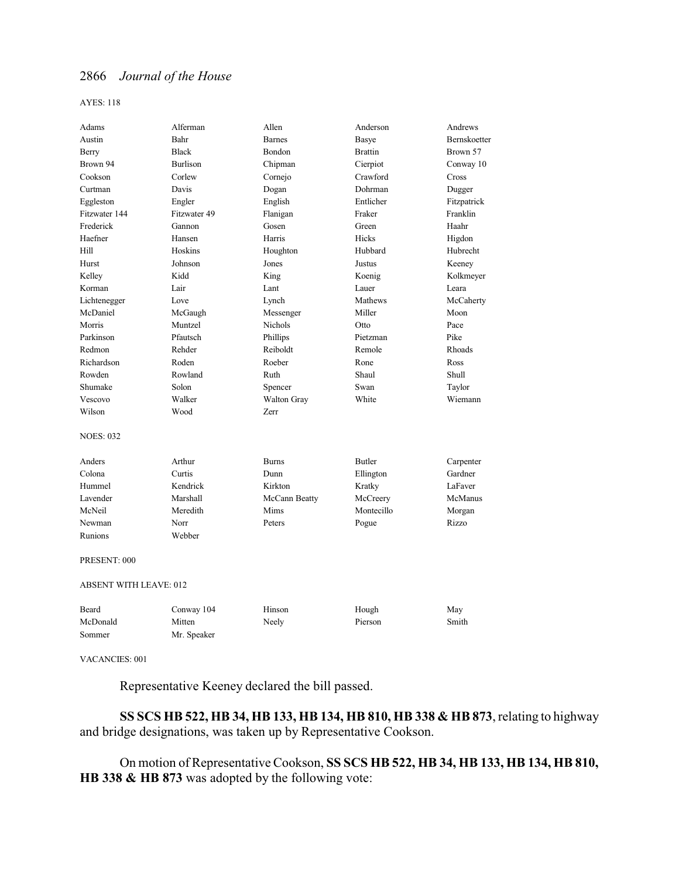AYES: 118

| Adams                         | Alferman        | Allen         | Anderson       | Andrews      |
|-------------------------------|-----------------|---------------|----------------|--------------|
| Austin                        | Bahr            | <b>Barnes</b> | Basye          | Bernskoetter |
| Berry                         | <b>Black</b>    | Bondon        | <b>Brattin</b> | Brown 57     |
| Brown 94                      | <b>Burlison</b> | Chipman       | Cierpiot       | Conway 10    |
| Cookson                       | Corlew          | Cornejo       | Crawford       | Cross        |
| Curtman                       | Davis           | Dogan         | Dohrman        | Dugger       |
| Eggleston                     | Engler          | English       | Entlicher      | Fitzpatrick  |
| Fitzwater 144                 | Fitzwater 49    | Flanigan      | Fraker         | Franklin     |
| Frederick                     | Gannon          | Gosen         | Green          | Haahr        |
| Haefner                       | Hansen          | Harris        | Hicks          | Higdon       |
| Hill                          | Hoskins         | Houghton      | Hubbard        | Hubrecht     |
| Hurst                         | Johnson         | Jones         | Justus         | Keeney       |
| Kelley                        | Kidd            | King          | Koenig         | Kolkmeyer    |
| Korman                        | Lair            | Lant          | Lauer          | Leara        |
| Lichtenegger                  | Love            | Lynch         | Mathews        | McCaherty    |
| McDaniel                      | McGaugh         | Messenger     | Miller         | Moon         |
| Morris                        | Muntzel         | Nichols       | Otto           | Pace         |
| Parkinson                     | Pfautsch        | Phillips      | Pietzman       | Pike         |
| Redmon                        | Rehder          | Reiboldt      | Remole         | Rhoads       |
| Richardson                    | Roden           | Roeber        | Rone           | Ross         |
| Rowden                        | Rowland         | Ruth          | Shaul          | Shull        |
| Shumake                       | Solon           | Spencer       | Swan           | Taylor       |
| Vescovo                       | Walker          | Walton Gray   | White          | Wiemann      |
| Wilson                        | Wood            | Zerr          |                |              |
| <b>NOES: 032</b>              |                 |               |                |              |
| Anders                        | Arthur          | <b>Burns</b>  | Butler         | Carpenter    |
| Colona                        | Curtis          | Dunn          | Ellington      | Gardner      |
| Hummel                        | Kendrick        | Kirkton       | Kratky         | LaFaver      |
| Lavender                      | Marshall        | McCann Beatty | McCreery       | McManus      |
| McNeil                        | Meredith        | Mims          | Montecillo     | Morgan       |
| Newman                        | Norr            | Peters        | Pogue          | Rizzo        |
| Runions                       | Webber          |               |                |              |
| PRESENT: 000                  |                 |               |                |              |
| <b>ABSENT WITH LEAVE: 012</b> |                 |               |                |              |
| Beard                         | Conway 104      | Hinson        | Hough          | May          |
| McDonald                      | Mitten          | Neely         | Pierson        | Smith        |
| Sommer                        | Mr. Speaker     |               |                |              |

VACANCIES: 001

Representative Keeney declared the bill passed.

**SS SCS HB 522, HB 34, HB 133, HB 134, HB 810, HB 338 & HB 873**, relating to highway and bridge designations, was taken up by Representative Cookson.

On motion of Representative Cookson, **SS SCS HB 522, HB 34, HB 133, HB 134, HB 810, HB 338 & HB 873** was adopted by the following vote: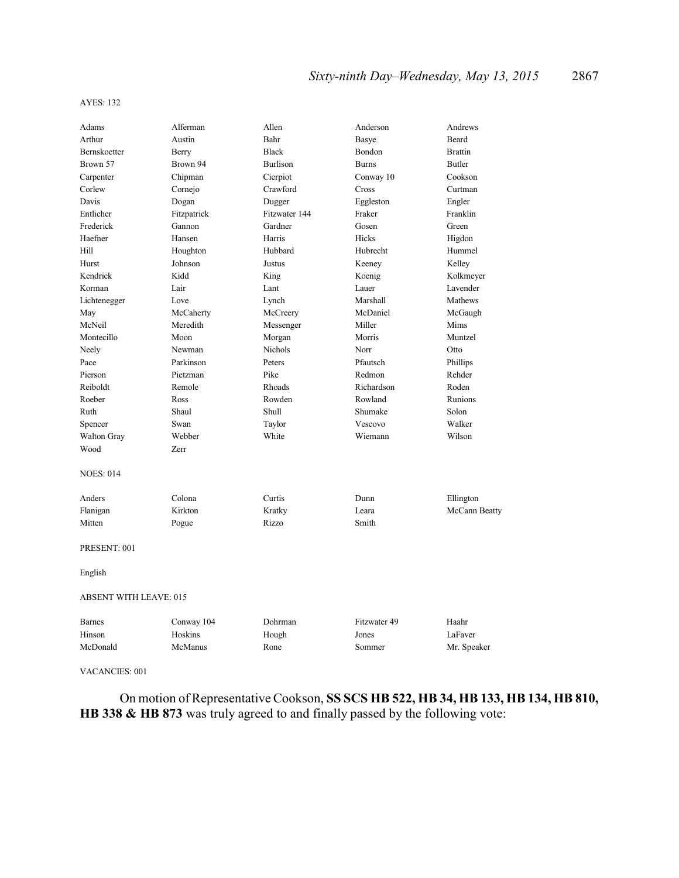| Adams                         | Alferman    | Allen           | Anderson     | Andrews        |
|-------------------------------|-------------|-----------------|--------------|----------------|
| Arthur                        | Austin      | Bahr            | Basye        | Beard          |
| Bernskoetter                  | Berry       | <b>Black</b>    | Bondon       | <b>Brattin</b> |
| Brown 57                      | Brown 94    | <b>Burlison</b> | <b>Burns</b> | <b>Butler</b>  |
| Carpenter                     | Chipman     | Cierpiot        | Conway 10    | Cookson        |
| Corlew                        | Cornejo     | Crawford        | Cross        | Curtman        |
| Davis                         | Dogan       | Dugger          | Eggleston    | Engler         |
| Entlicher                     | Fitzpatrick | Fitzwater 144   | Fraker       | Franklin       |
| Frederick                     | Gannon      | Gardner         | Gosen        | Green          |
| Haefner                       | Hansen      | Harris          | Hicks        | Higdon         |
| Hill                          | Houghton    | Hubbard         | Hubrecht     | Hummel         |
| Hurst                         | Johnson     | Justus          | Keeney       | Kelley         |
| Kendrick                      | Kidd        | King            | Koenig       | Kolkmeyer      |
| Korman                        | Lair        | Lant            | Lauer        | Lavender       |
| Lichtenegger                  | Love        | Lynch           | Marshall     | Mathews        |
| May                           | McCaherty   | McCreery        | McDaniel     | McGaugh        |
| McNeil                        | Meredith    | Messenger       | Miller       | Mims           |
| Montecillo                    | Moon        | Morgan          | Morris       | Muntzel        |
| Neely                         | Newman      | Nichols         | Norr         | Otto           |
| Pace                          | Parkinson   | Peters          | Pfautsch     | Phillips       |
| Pierson                       | Pietzman    | Pike            | Redmon       | Rehder         |
| Reiboldt                      | Remole      | Rhoads          | Richardson   | Roden          |
| Roeber                        | Ross        | Rowden          | Rowland      | Runions        |
| Ruth                          | Shaul       | Shull           | Shumake      | Solon          |
| Spencer                       | Swan        | Taylor          | Vescovo      | Walker         |
| Walton Gray                   | Webber      | White           | Wiemann      | Wilson         |
| Wood                          | Zerr        |                 |              |                |
| <b>NOES: 014</b>              |             |                 |              |                |
| Anders                        | Colona      | Curtis          | Dunn         | Ellington      |
| Flanigan                      | Kirkton     | Kratky          | Leara        | McCann Beatty  |
| Mitten                        | Pogue       | Rizzo           | Smith        |                |
| PRESENT: 001                  |             |                 |              |                |
| English                       |             |                 |              |                |
| <b>ABSENT WITH LEAVE: 015</b> |             |                 |              |                |
| <b>Barnes</b>                 | Conway 104  | Dohrman         | Fitzwater 49 | Haahr          |
| Hinson                        | Hoskins     | Hough           | Jones        | LaFaver        |
| McDonald                      | McManus     | Rone            | Sommer       | Mr. Speaker    |
|                               |             |                 |              |                |

VACANCIES: 001

On motion of Representative Cookson, **SS SCS HB 522, HB 34, HB 133, HB 134, HB 810, HB 338 & HB 873** was truly agreed to and finally passed by the following vote: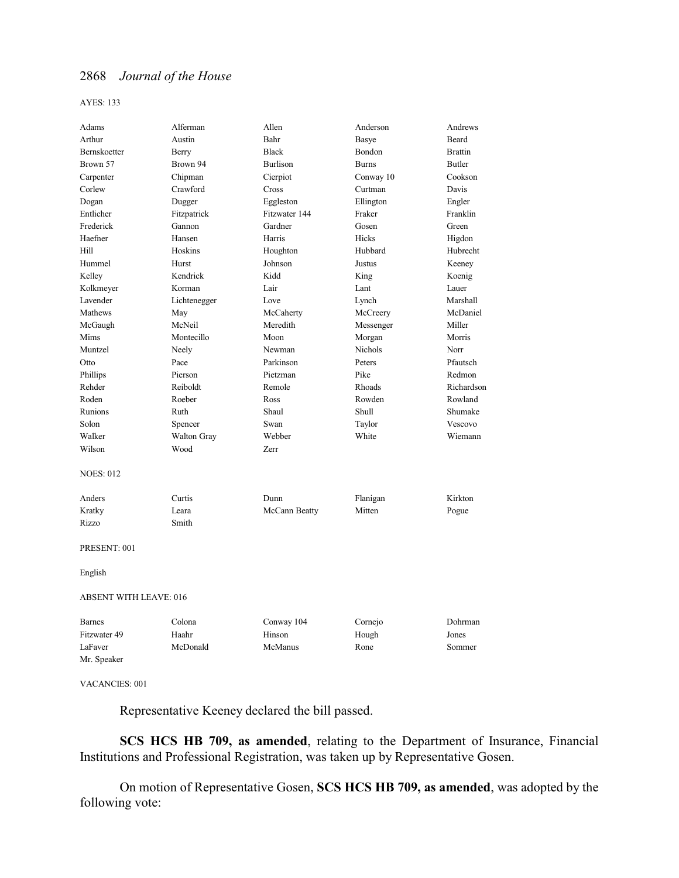AYES: 133

| Adams                         | Alferman     | Allen           | Anderson       | Andrews        |
|-------------------------------|--------------|-----------------|----------------|----------------|
| Arthur                        | Austin       | Bahr            | Basye          | Beard          |
| Bernskoetter                  | Berry        | <b>Black</b>    | Bondon         | <b>Brattin</b> |
| Brown 57                      | Brown 94     | <b>Burlison</b> | <b>Burns</b>   | <b>Butler</b>  |
| Carpenter                     | Chipman      | Cierpiot        | Conway 10      | Cookson        |
| Corlew                        | Crawford     | Cross           | Curtman        | Davis          |
| Dogan                         | Dugger       | Eggleston       | Ellington      | Engler         |
| Entlicher                     | Fitzpatrick  | Fitzwater 144   | Fraker         | Franklin       |
| Frederick                     | Gannon       | Gardner         | Gosen          | Green          |
| Haefner                       | Hansen       | Harris          | Hicks          | Higdon         |
| Hill                          | Hoskins      | Houghton        | Hubbard        | Hubrecht       |
| Hummel                        | Hurst        | Johnson         | Justus         | Keeney         |
| Kelley                        | Kendrick     | Kidd            | King           | Koenig         |
| Kolkmeyer                     | Korman       | Lair            | Lant           | Lauer          |
| Lavender                      | Lichtenegger | Love            | Lynch          | Marshall       |
| Mathews                       | May          | McCaherty       | McCreery       | McDaniel       |
| McGaugh                       | McNeil       | Meredith        | Messenger      | Miller         |
| Mims                          | Montecillo   | Moon            | Morgan         | Morris         |
| Muntzel                       | Neely        | Newman          | <b>Nichols</b> | Norr           |
| Otto                          | Pace         | Parkinson       | Peters         | Pfautsch       |
| Phillips                      | Pierson      | Pietzman        | Pike           | Redmon         |
| Rehder                        | Reiboldt     | Remole          | Rhoads         | Richardson     |
| Roden                         | Roeber       | Ross            | Rowden         | Rowland        |
| Runions                       | Ruth         | Shaul           | Shull          | Shumake        |
| Solon                         | Spencer      | Swan            | Taylor         | Vescovo        |
| Walker                        | Walton Gray  | Webber          | White          | Wiemann        |
| Wilson                        | Wood         | Zerr            |                |                |
| <b>NOES: 012</b>              |              |                 |                |                |
| Anders                        | Curtis       | Dunn            | Flanigan       | Kirkton        |
| Kratky                        | Leara        | McCann Beatty   | Mitten         | Pogue          |
| Rizzo                         | Smith        |                 |                |                |
| PRESENT: 001                  |              |                 |                |                |
| English                       |              |                 |                |                |
| <b>ABSENT WITH LEAVE: 016</b> |              |                 |                |                |
| <b>Barnes</b>                 | Colona       | Conway 104      | Cornejo        | Dohrman        |
| Fitzwater 49                  | Haahr        | Hinson          | Hough          | Jones          |
| LaFaver                       | McDonald     | McManus         | Rone           | Sommer         |
| Mr. Speaker                   |              |                 |                |                |

VACANCIES: 001

Representative Keeney declared the bill passed.

**SCS HCS HB 709, as amended**, relating to the Department of Insurance, Financial Institutions and Professional Registration, was taken up by Representative Gosen.

On motion of Representative Gosen, **SCS HCS HB 709, as amended**, was adopted by the following vote: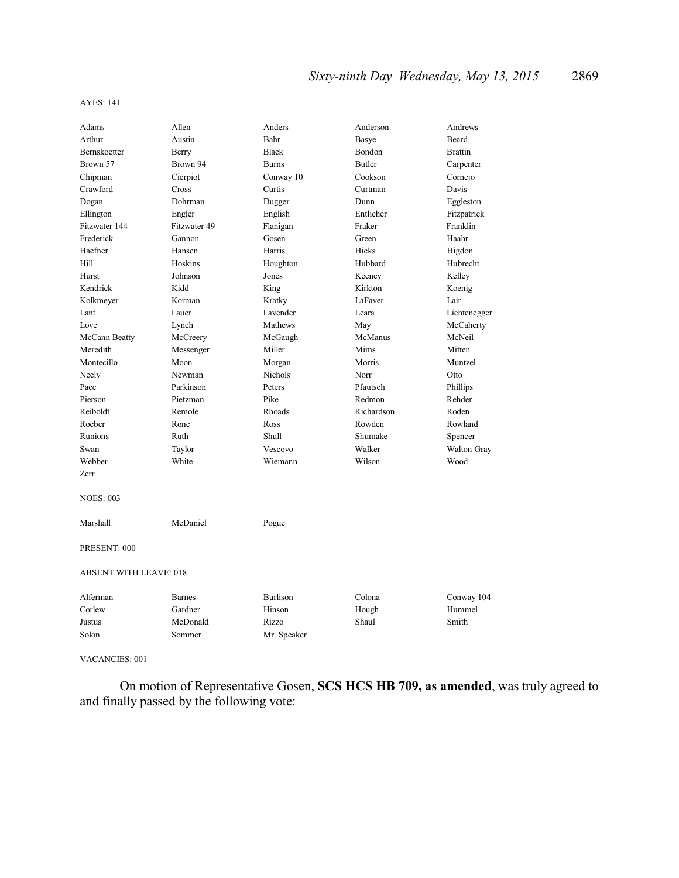| Adams                         | Allen         | Anders       | Anderson      | Andrews            |
|-------------------------------|---------------|--------------|---------------|--------------------|
| Arthur                        | Austin        | Bahr         | Basye         | <b>Beard</b>       |
| Bernskoetter                  | Berry         | <b>Black</b> | Bondon        | <b>Brattin</b>     |
| Brown 57                      | Brown 94      | <b>Burns</b> | <b>Butler</b> | Carpenter          |
| Chipman                       | Cierpiot      | Conway 10    | Cookson       | Cornejo            |
| Crawford                      | Cross         | Curtis       | Curtman       | Davis              |
| Dogan                         | Dohrman       | Dugger       | Dunn          | Eggleston          |
| Ellington                     | Engler        | English      | Entlicher     | Fitzpatrick        |
| Fitzwater 144                 | Fitzwater 49  | Flanigan     | Fraker        | Franklin           |
| Frederick                     | Gannon        | Gosen        | Green         | Haahr              |
| Haefner                       | Hansen        | Harris       | Hicks         | Higdon             |
| Hill                          | Hoskins       | Houghton     | Hubbard       | Hubrecht           |
| Hurst                         | Johnson       | Jones        | Keeney        | Kelley             |
| Kendrick                      | Kidd          | King         | Kirkton       | Koenig             |
| Kolkmeyer                     | Korman        | Kratky       | LaFaver       | Lair               |
| Lant                          | Lauer         | Lavender     | Leara         | Lichtenegger       |
| Love                          | Lynch         | Mathews      | May           | McCaherty          |
| McCann Beatty                 | McCreery      | McGaugh      | McManus       | McNeil             |
| Meredith                      | Messenger     | Miller       | Mims          | Mitten             |
| Montecillo                    | Moon          | Morgan       | Morris        | Muntzel            |
| Neely                         | Newman        | Nichols      | Norr          | Otto               |
| Pace                          | Parkinson     | Peters       | Pfautsch      | Phillips           |
| Pierson                       | Pietzman      | Pike         | Redmon        | Rehder             |
| Reiboldt                      | Remole        | Rhoads       | Richardson    | Roden              |
| Roeber                        | Rone          | Ross         | Rowden        | Rowland            |
| Runions                       | Ruth          | Shull        | Shumake       | Spencer            |
| Swan                          | Taylor        | Vescovo      | Walker        | <b>Walton Gray</b> |
| Webber                        | White         | Wiemann      | Wilson        | Wood               |
| Zerr                          |               |              |               |                    |
| <b>NOES: 003</b>              |               |              |               |                    |
| Marshall                      | McDaniel      | Pogue        |               |                    |
| PRESENT: 000                  |               |              |               |                    |
| <b>ABSENT WITH LEAVE: 018</b> |               |              |               |                    |
| Alferman                      | <b>Barnes</b> | Burlison     | Colona        | Conway 104         |
| Corlew                        | Gardner       | Hinson       | Hough         | Hummel             |
| Justus                        | McDonald      | Rizzo        | Shaul         | Smith              |
| Solon                         | Sommer        | Mr. Speaker  |               |                    |

VACANCIES: 001

On motion of Representative Gosen, **SCS HCS HB 709, as amended**, was truly agreed to and finally passed by the following vote: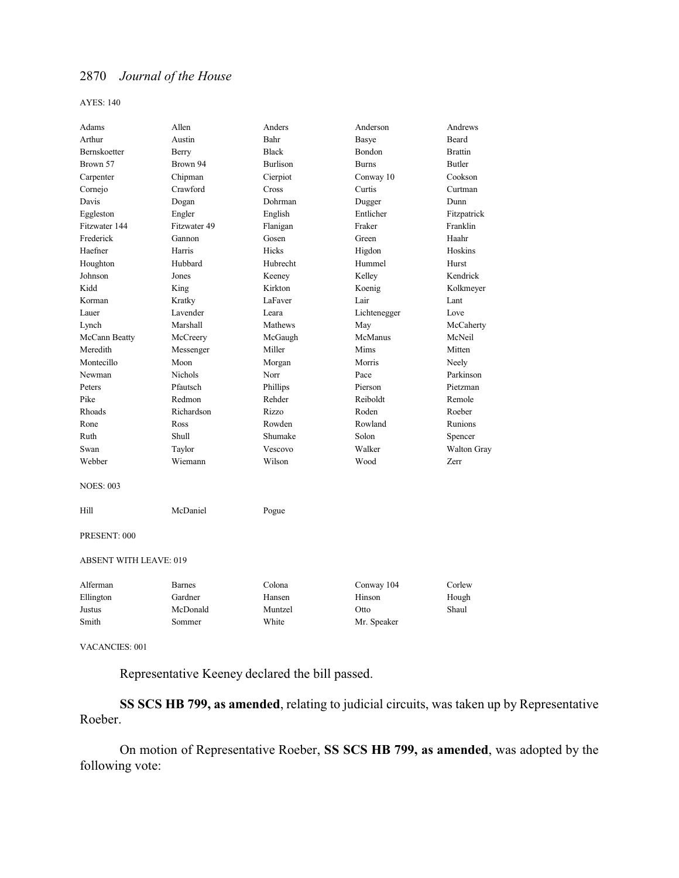AYES: 140

| Adams                         | Allen          | Anders          | Anderson     | Andrews        |
|-------------------------------|----------------|-----------------|--------------|----------------|
| Arthur                        | Austin         | Bahr            | Basye        | Beard          |
| Bernskoetter                  | Berry          | <b>Black</b>    | Bondon       | <b>Brattin</b> |
| Brown 57                      | Brown 94       | <b>Burlison</b> | <b>Burns</b> | <b>Butler</b>  |
| Carpenter                     | Chipman        | Cierpiot        | Conway 10    | Cookson        |
| Cornejo                       | Crawford       | Cross           | Curtis       | Curtman        |
| Davis                         | Dogan          | Dohrman         | Dugger       | Dunn           |
| Eggleston                     | Engler         | English         | Entlicher    | Fitzpatrick    |
| Fitzwater 144                 | Fitzwater 49   | Flanigan        | Fraker       | Franklin       |
| Frederick                     | Gannon         | Gosen           | Green        | Haahr          |
| Haefner                       | Harris         | <b>Hicks</b>    | Higdon       | Hoskins        |
| Houghton                      | Hubbard        | Hubrecht        | Hummel       | Hurst          |
| Johnson                       | Jones          | Keeney          | Kelley       | Kendrick       |
| Kidd                          | King           | Kirkton         | Koenig       | Kolkmeyer      |
| Korman                        | Kratky         | LaFaver         | Lair         | Lant           |
| Lauer                         | Lavender       | Leara           | Lichtenegger | Love           |
| Lynch                         | Marshall       | Mathews         | May          | McCaherty      |
| McCann Beatty                 | McCreery       | McGaugh         | McManus      | McNeil         |
| Meredith                      | Messenger      | Miller          | Mims         | Mitten         |
| Montecillo                    | Moon           | Morgan          | Morris       | Neely          |
| Newman                        | <b>Nichols</b> | Norr            | Pace         | Parkinson      |
| Peters                        | Pfautsch       | Phillips        | Pierson      | Pietzman       |
| Pike                          | Redmon         | Rehder          | Reiboldt     | Remole         |
| Rhoads                        | Richardson     | Rizzo           | Roden        | Roeber         |
| Rone                          | Ross           | Rowden          | Rowland      | Runions        |
| Ruth                          | <b>Shull</b>   | Shumake         | Solon        | Spencer        |
| Swan                          | Taylor         | Vescovo         | Walker       | Walton Gray    |
| Webber                        | Wiemann        | Wilson          | Wood         | Zerr           |
| <b>NOES: 003</b>              |                |                 |              |                |
| Hill                          | McDaniel       | Pogue           |              |                |
| PRESENT: 000                  |                |                 |              |                |
| <b>ABSENT WITH LEAVE: 019</b> |                |                 |              |                |
| Alferman                      | <b>Barnes</b>  | Colona          | Conway 104   | Corlew         |
| Ellington                     | Gardner        | Hansen          | Hinson       | Hough          |
| Justus                        | McDonald       | Muntzel         | Otto         | Shaul          |
| Smith                         | Sommer         | White           | Mr. Speaker  |                |

VACANCIES: 001

Representative Keeney declared the bill passed.

**SS SCS HB 799, as amended**, relating to judicial circuits, was taken up by Representative Roeber.

On motion of Representative Roeber, **SS SCS HB 799, as amended**, was adopted by the following vote: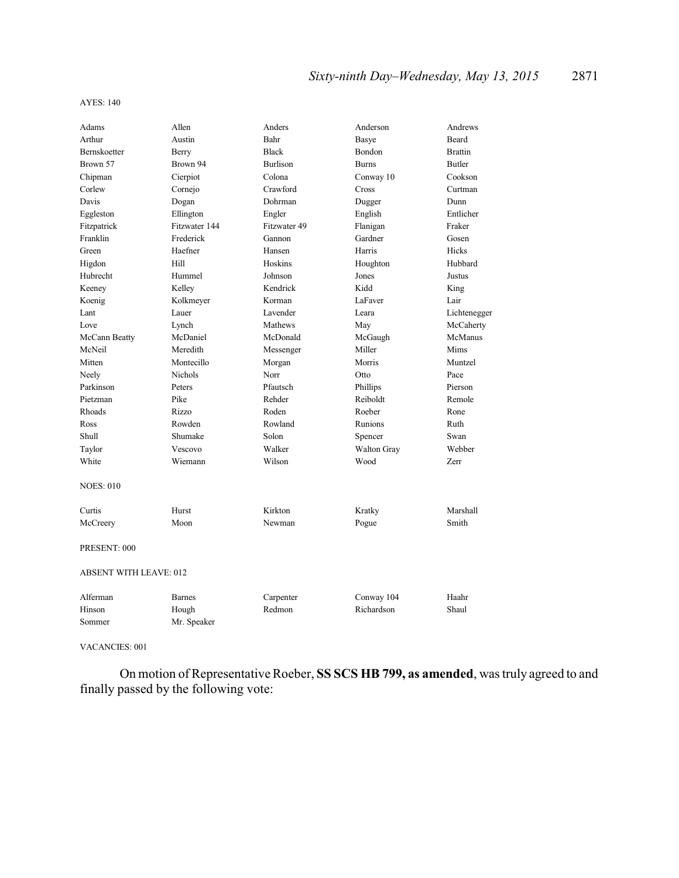| Adams                         | Allen         | Anders          | Anderson     | Andrews        |
|-------------------------------|---------------|-----------------|--------------|----------------|
| Arthur                        | Austin        | Bahr            | Basye        | Beard          |
| <b>Bernskoetter</b>           | Berry         | <b>Black</b>    | Bondon       | <b>Brattin</b> |
| Brown 57                      | Brown 94      | <b>Burlison</b> | <b>Burns</b> | <b>Butler</b>  |
| Chipman                       | Cierpiot      | Colona          | Conway 10    | Cookson        |
| Corlew                        | Cornejo       | Crawford        | Cross        | Curtman        |
| Davis                         | Dogan         | Dohrman         | Dugger       | Dunn           |
| Eggleston                     | Ellington     | Engler          | English      | Entlicher      |
| Fitzpatrick                   | Fitzwater 144 | Fitzwater 49    | Flanigan     | Fraker         |
| Franklin                      | Frederick     | Gannon          | Gardner      | Gosen          |
| Green                         | Haefner       | Hansen          | Harris       | Hicks          |
| Higdon                        | Hill          | Hoskins         | Houghton     | Hubbard        |
| Hubrecht                      | Hummel        | Johnson         | Jones        | Justus         |
| Keeney                        | Kelley        | Kendrick        | Kidd         | King           |
| Koenig                        | Kolkmeyer     | Korman          | LaFaver      | Lair           |
| Lant                          | Lauer         | Lavender        | Leara        | Lichtenegger   |
| Love                          | Lynch         | Mathews         | May          | McCaherty      |
| McCann Beatty                 | McDaniel      | McDonald        | McGaugh      | McManus        |
| McNeil                        | Meredith      | Messenger       | Miller       | Mims           |
| Mitten                        | Montecillo    | Morgan          | Morris       | Muntzel        |
| Neely                         | Nichols       | Norr            | Otto         | Pace           |
| Parkinson                     | Peters        | Pfautsch        | Phillips     | Pierson        |
| Pietzman                      | Pike          | Rehder          | Reiboldt     | Remole         |
| Rhoads                        | Rizzo         | Roden           | Roeber       | Rone           |
| Ross                          | Rowden        | Rowland         | Runions      | Ruth           |
| Shull                         | Shumake       | Solon           | Spencer      | Swan           |
| Taylor                        | Vescovo       | Walker          | Walton Gray  | Webber         |
| White                         | Wiemann       | Wilson          | Wood         | Zerr           |
| <b>NOES: 010</b>              |               |                 |              |                |
| Curtis                        | Hurst         | Kirkton         | Kratky       | Marshall       |
| McCreery                      | Moon          | Newman          | Pogue        | Smith          |
| PRESENT: 000                  |               |                 |              |                |
| <b>ABSENT WITH LEAVE: 012</b> |               |                 |              |                |
| Alferman                      | <b>Barnes</b> | Carpenter       | Conway 104   | Haahr          |
| Hinson                        | Hough         | Redmon          | Richardson   | Shaul          |
| Sommer                        | Mr. Speaker   |                 |              |                |

VACANCIES: 001

On motion of Representative Roeber, **SS SCS HB 799, as amended**, was truly agreed to and finally passed by the following vote: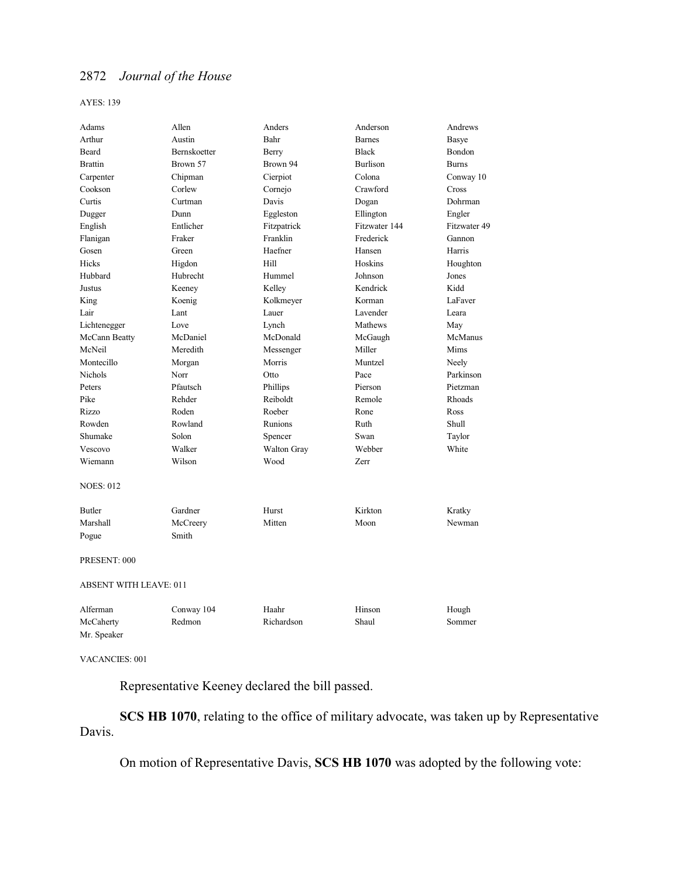AYES: 139

| Adams                         | Allen        | Anders             | Anderson        | Andrews      |
|-------------------------------|--------------|--------------------|-----------------|--------------|
| Arthur                        | Austin       | Bahr               | <b>Barnes</b>   | Basye        |
| Beard                         | Bernskoetter | Berry              | <b>Black</b>    | Bondon       |
| <b>Brattin</b>                | Brown 57     | Brown 94           | <b>Burlison</b> | <b>Burns</b> |
| Carpenter                     | Chipman      | Cierpiot           | Colona          | Conway 10    |
| Cookson                       | Corlew       | Cornejo            | Crawford        | Cross        |
| Curtis                        | Curtman      | Davis              | Dogan           | Dohrman      |
| Dugger                        | Dunn         | Eggleston          | Ellington       | Engler       |
| English                       | Entlicher    | Fitzpatrick        | Fitzwater 144   | Fitzwater 49 |
| Flanigan                      | Fraker       | Franklin           | Frederick       | Gannon       |
| Gosen                         | Green        | Haefner            | Hansen          | Harris       |
| <b>Hicks</b>                  | Higdon       | Hill               | Hoskins         | Houghton     |
| Hubbard                       | Hubrecht     | Hummel             | Johnson         | Jones        |
| Justus                        | Keeney       | Kelley             | Kendrick        | Kidd         |
| King                          | Koenig       | Kolkmeyer          | Korman          | LaFaver      |
| Lair                          | Lant         | Lauer              | Lavender        | Leara        |
| Lichtenegger                  | Love         | Lynch              | Mathews         | May          |
| McCann Beatty                 | McDaniel     | McDonald           | McGaugh         | McManus      |
| McNeil                        | Meredith     | Messenger          | Miller          | Mims         |
| Montecillo                    | Morgan       | Morris             | Muntzel         | Neely        |
| <b>Nichols</b>                | Norr         | Otto               | Pace            | Parkinson    |
| Peters                        | Pfautsch     | Phillips           | Pierson         | Pietzman     |
| Pike                          | Rehder       | Reiboldt           | Remole          | Rhoads       |
| Rizzo                         | Roden        | Roeber             | Rone            | Ross         |
| Rowden                        | Rowland      | Runions            | Ruth            | Shull        |
| Shumake                       | Solon        | Spencer            | Swan            | Taylor       |
| Vescovo                       | Walker       | <b>Walton Gray</b> | Webber          | White        |
| Wiemann                       | Wilson       | Wood               | Zerr            |              |
| <b>NOES: 012</b>              |              |                    |                 |              |
| <b>Butler</b>                 | Gardner      | Hurst              | Kirkton         | Kratky       |
| Marshall                      | McCreery     | Mitten             | Moon            | Newman       |
| Pogue                         | Smith        |                    |                 |              |
| PRESENT: 000                  |              |                    |                 |              |
| <b>ABSENT WITH LEAVE: 011</b> |              |                    |                 |              |
| Alferman                      | Conway 104   | Haahr              | Hinson          | Hough        |
| McCaherty                     | Redmon       | Richardson         | Shaul           | Sommer       |
| Mr. Speaker                   |              |                    |                 |              |

VACANCIES: 001

Representative Keeney declared the bill passed.

**SCS HB 1070**, relating to the office of military advocate, was taken up by Representative Davis.

On motion of Representative Davis, **SCS HB 1070** was adopted by the following vote: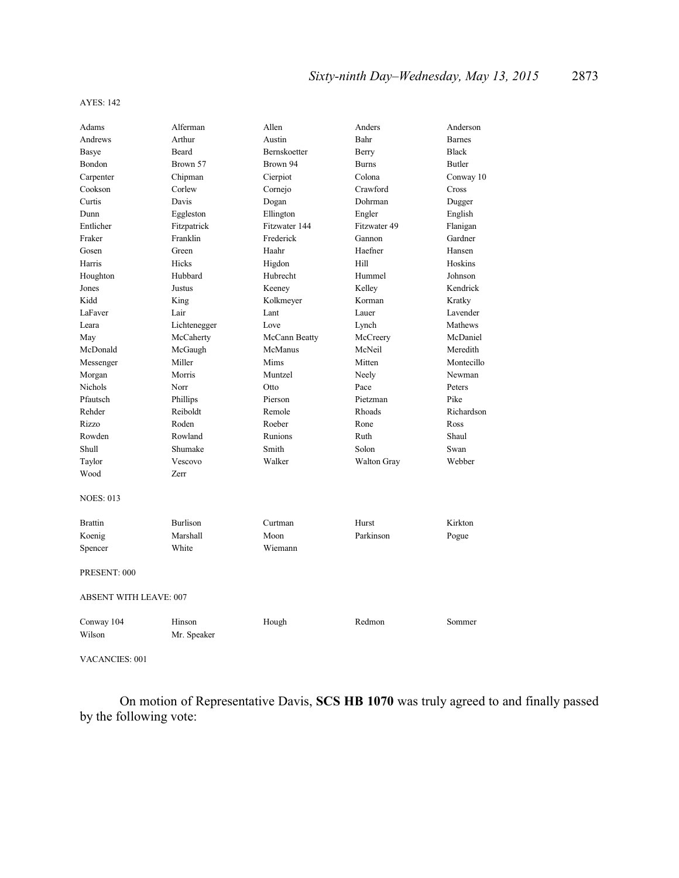| Adams                         | Alferman        | Allen         | Anders       | Anderson      |  |
|-------------------------------|-----------------|---------------|--------------|---------------|--|
| Andrews                       | Arthur          | Austin        | Bahr         | <b>Barnes</b> |  |
| Basye                         | Beard           | Bernskoetter  | Berry        | <b>Black</b>  |  |
| Bondon                        | Brown 57        | Brown 94      | <b>Burns</b> | Butler        |  |
| Carpenter                     | Chipman         | Cierpiot      | Colona       | Conway 10     |  |
| Cookson                       | Corlew          | Cornejo       | Crawford     | Cross         |  |
| Curtis                        | Davis           | Dogan         | Dohrman      | Dugger        |  |
| Dunn                          | Eggleston       | Ellington     | Engler       | English       |  |
| Entlicher                     | Fitzpatrick     | Fitzwater 144 | Fitzwater 49 | Flanigan      |  |
| Fraker                        | Franklin        | Frederick     | Gannon       | Gardner       |  |
| Gosen                         | Green           | Haahr         | Haefner      | Hansen        |  |
| Harris                        | Hicks           | Higdon        | Hill         | Hoskins       |  |
| Houghton                      | Hubbard         | Hubrecht      | Hummel       | Johnson       |  |
| Jones                         | Justus          | Keeney        | Kelley       | Kendrick      |  |
| Kidd                          | King            | Kolkmeyer     | Korman       | Kratky        |  |
| LaFaver                       | Lair            | Lant          | Lauer        | Lavender      |  |
| Leara                         | Lichtenegger    | Love          | Lynch        | Mathews       |  |
| May                           | McCaherty       | McCann Beatty | McCreery     | McDaniel      |  |
| McDonald                      | McGaugh         | McManus       | McNeil       | Meredith      |  |
| Messenger                     | Miller          | Mims          | Mitten       | Montecillo    |  |
| Morgan                        | Morris          | Muntzel       | Neely        | Newman        |  |
| Nichols                       | Norr            | Otto          | Pace         | Peters        |  |
| Pfautsch                      | Phillips        | Pierson       | Pietzman     | Pike          |  |
| Rehder                        | Reiboldt        | Remole        | Rhoads       | Richardson    |  |
| Rizzo                         | Roden           | Roeber        | Rone         | Ross          |  |
| Rowden                        | Rowland         | Runions       | Ruth         | Shaul         |  |
| Shull                         | Shumake         | Smith         | Solon        | Swan          |  |
| Taylor                        | Vescovo         | Walker        | Walton Gray  | Webber        |  |
| Wood                          | Zerr            |               |              |               |  |
| <b>NOES: 013</b>              |                 |               |              |               |  |
| <b>Brattin</b>                | <b>Burlison</b> | Curtman       | Hurst        | Kirkton       |  |
| Koenig                        | Marshall        | Moon          | Parkinson    | Pogue         |  |
| Spencer                       | White           | Wiemann       |              |               |  |
|                               |                 |               |              |               |  |
| PRESENT: 000                  |                 |               |              |               |  |
| <b>ABSENT WITH LEAVE: 007</b> |                 |               |              |               |  |
| Conway 104                    | Hinson          | Hough         | Redmon       | Sommer        |  |
| Wilson                        | Mr. Speaker     |               |              |               |  |
|                               |                 |               |              |               |  |

VACANCIES: 001

On motion of Representative Davis, **SCS HB 1070** was truly agreed to and finally passed by the following vote: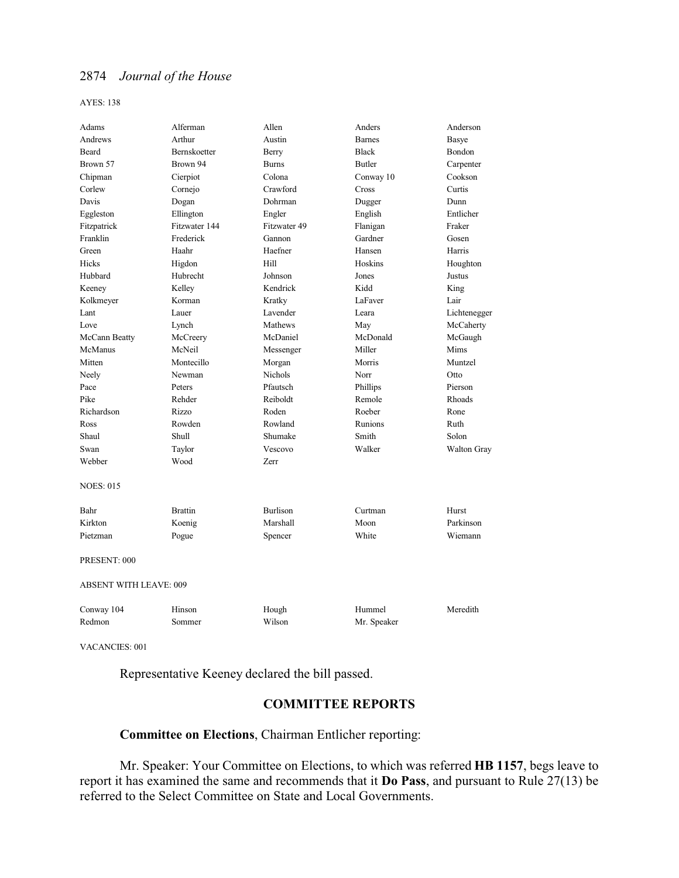AYES: 138

| Adams                         | Alferman       | Allen           | Anders        | Anderson           |
|-------------------------------|----------------|-----------------|---------------|--------------------|
| Andrews                       | Arthur         | Austin          | <b>Barnes</b> | Basye              |
| <b>Beard</b>                  | Bernskoetter   | Berry           | <b>Black</b>  | Bondon             |
| Brown 57                      | Brown 94       | <b>Burns</b>    | <b>Butler</b> | Carpenter          |
| Chipman                       | Cierpiot       | Colona          | Conway 10     | Cookson            |
| Corlew                        | Cornejo        | Crawford        | Cross         | Curtis             |
| Davis                         | Dogan          | Dohrman         | Dugger        | Dunn               |
| Eggleston                     | Ellington      | Engler          | English       | Entlicher          |
| Fitzpatrick                   | Fitzwater 144  | Fitzwater 49    | Flanigan      | Fraker             |
| Franklin                      | Frederick      | Gannon          | Gardner       | Gosen              |
| Green                         | Haahr          | Haefner         | Hansen        | Harris             |
| Hicks                         | Higdon         | Hill            | Hoskins       | Houghton           |
| Hubbard                       | Hubrecht       | Johnson         | Jones         | Justus             |
| Keeney                        | Kelley         | Kendrick        | Kidd          | King               |
| Kolkmeyer                     | Korman         | Kratky          | LaFaver       | Lair               |
| Lant                          | Lauer          | Lavender        | Leara         | Lichtenegger       |
| Love                          | Lynch          | Mathews         | May           | McCaherty          |
| McCann Beatty                 | McCreery       | McDaniel        | McDonald      | McGaugh            |
| McManus                       | McNeil         | Messenger       | Miller        | Mims               |
| Mitten                        | Montecillo     | Morgan          | Morris        | Muntzel            |
| Neely                         | Newman         | <b>Nichols</b>  | Norr          | Otto               |
| Pace                          | Peters         | Pfautsch        | Phillips      | Pierson            |
| Pike                          | Rehder         | Reiboldt        | Remole        | Rhoads             |
| Richardson                    | Rizzo          | Roden           | Roeber        | Rone               |
| Ross                          | Rowden         | Rowland         | Runions       | Ruth               |
| Shaul                         | Shull          | Shumake         | Smith         | Solon              |
| Swan                          | Taylor         | Vescovo         | Walker        | <b>Walton Gray</b> |
| Webber                        | Wood           | Zerr            |               |                    |
| <b>NOES: 015</b>              |                |                 |               |                    |
| Bahr                          | <b>Brattin</b> | <b>Burlison</b> | Curtman       | Hurst              |
| Kirkton                       | Koenig         | Marshall        | Moon          | Parkinson          |
| Pietzman                      | Pogue          | Spencer         | White         | Wiemann            |
| PRESENT: 000                  |                |                 |               |                    |
| <b>ABSENT WITH LEAVE: 009</b> |                |                 |               |                    |
| Conway 104                    | Hinson         | Hough           | Hummel        | Meredith           |
| Redmon                        | Sommer         | Wilson          | Mr. Speaker   |                    |
|                               |                |                 |               |                    |

VACANCIES: 001

Representative Keeney declared the bill passed.

### **COMMITTEE REPORTS**

# **Committee on Elections**, Chairman Entlicher reporting:

Mr. Speaker: Your Committee on Elections, to which was referred **HB 1157**, begs leave to report it has examined the same and recommends that it **Do Pass**, and pursuant to Rule 27(13) be referred to the Select Committee on State and Local Governments.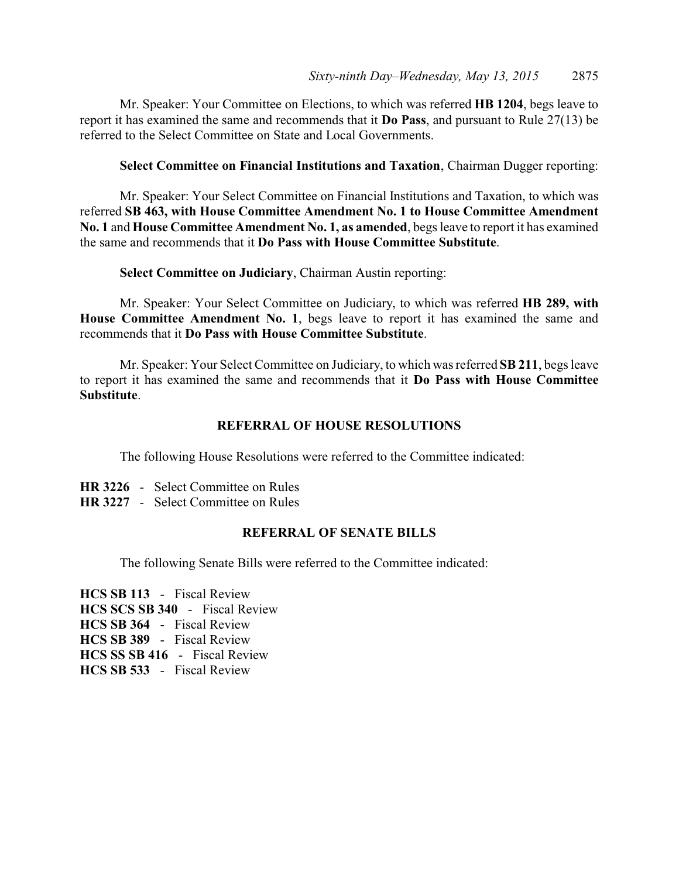Mr. Speaker: Your Committee on Elections, to which was referred **HB 1204**, begs leave to report it has examined the same and recommends that it **Do Pass**, and pursuant to Rule 27(13) be referred to the Select Committee on State and Local Governments.

**Select Committee on Financial Institutions and Taxation**, Chairman Dugger reporting:

Mr. Speaker: Your Select Committee on Financial Institutions and Taxation, to which was referred **SB 463, with House Committee Amendment No. 1 to House Committee Amendment No. 1** and **House Committee Amendment No. 1, as amended**, begs leave to report it has examined the same and recommends that it **Do Pass with House Committee Substitute**.

**Select Committee on Judiciary**, Chairman Austin reporting:

Mr. Speaker: Your Select Committee on Judiciary, to which was referred **HB 289, with House Committee Amendment No. 1**, begs leave to report it has examined the same and recommends that it **Do Pass with House Committee Substitute**.

Mr. Speaker: Your Select Committee on Judiciary, to which was referred **SB 211**, begs leave to report it has examined the same and recommends that it **Do Pass with House Committee Substitute**.

### **REFERRAL OF HOUSE RESOLUTIONS**

The following House Resolutions were referred to the Committee indicated:

- **HR 3226** Select Committee on Rules
- **HR 3227** Select Committee on Rules

### **REFERRAL OF SENATE BILLS**

The following Senate Bills were referred to the Committee indicated:

**HCS SB 113** - Fiscal Review **HCS SCS SB 340** - Fiscal Review **HCS SB 364** - Fiscal Review **HCS SB 389** - Fiscal Review **HCS SS SB 416** - Fiscal Review **HCS SB 533** - Fiscal Review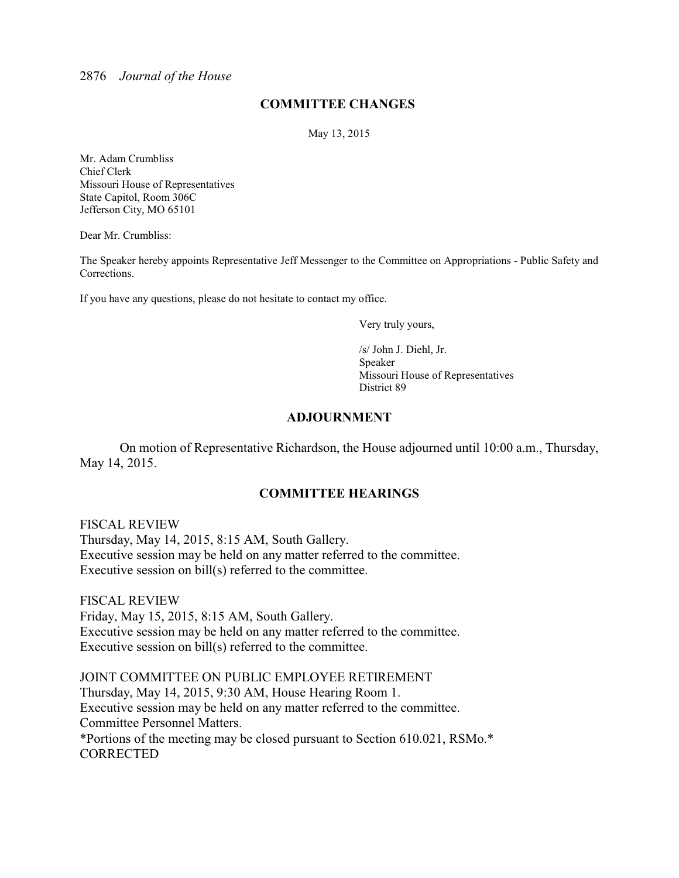### **COMMITTEE CHANGES**

May 13, 2015

Mr. Adam Crumbliss Chief Clerk Missouri House of Representatives State Capitol, Room 306C Jefferson City, MO 65101

Dear Mr. Crumbliss:

The Speaker hereby appoints Representative Jeff Messenger to the Committee on Appropriations - Public Safety and Corrections.

If you have any questions, please do not hesitate to contact my office.

Very truly yours,

/s/ John J. Diehl, Jr. Speaker Missouri House of Representatives District 89

### **ADJOURNMENT**

On motion of Representative Richardson, the House adjourned until 10:00 a.m., Thursday, May 14, 2015.

### **COMMITTEE HEARINGS**

FISCAL REVIEW Thursday, May 14, 2015, 8:15 AM, South Gallery. Executive session may be held on any matter referred to the committee. Executive session on bill(s) referred to the committee.

FISCAL REVIEW Friday, May 15, 2015, 8:15 AM, South Gallery. Executive session may be held on any matter referred to the committee. Executive session on bill(s) referred to the committee.

JOINT COMMITTEE ON PUBLIC EMPLOYEE RETIREMENT Thursday, May 14, 2015, 9:30 AM, House Hearing Room 1. Executive session may be held on any matter referred to the committee. Committee Personnel Matters. \*Portions of the meeting may be closed pursuant to Section 610.021, RSMo.\* CORRECTED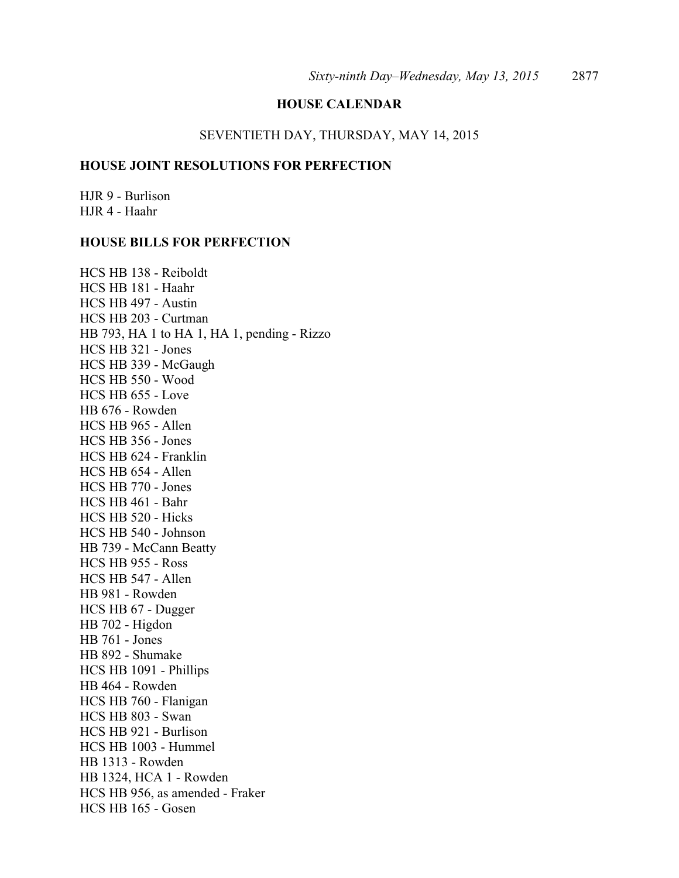### **HOUSE CALENDAR**

### SEVENTIETH DAY, THURSDAY, MAY 14, 2015

### **HOUSE JOINT RESOLUTIONS FOR PERFECTION**

HJR 9 - Burlison HJR 4 - Haahr

### **HOUSE BILLS FOR PERFECTION**

HCS HB 138 - Reiboldt HCS HB 181 - Haahr HCS HB 497 - Austin HCS HB 203 - Curtman HB 793, HA 1 to HA 1, HA 1, pending - Rizzo HCS HB 321 - Jones HCS HB 339 - McGaugh HCS HB 550 - Wood HCS HB 655 - Love HB 676 - Rowden HCS HB 965 - Allen HCS HB 356 - Jones HCS HB 624 - Franklin HCS HB 654 - Allen HCS HB 770 - Jones HCS HB 461 - Bahr HCS HB 520 - Hicks HCS HB 540 - Johnson HB 739 - McCann Beatty HCS HB 955 - Ross HCS HB 547 - Allen HB 981 - Rowden HCS HB 67 - Dugger HB 702 - Higdon HB 761 - Jones HB 892 - Shumake HCS HB 1091 - Phillips HB 464 - Rowden HCS HB 760 - Flanigan HCS HB 803 - Swan HCS HB 921 - Burlison HCS HB 1003 - Hummel HB 1313 - Rowden HB 1324, HCA 1 - Rowden HCS HB 956, as amended - Fraker HCS HB 165 - Gosen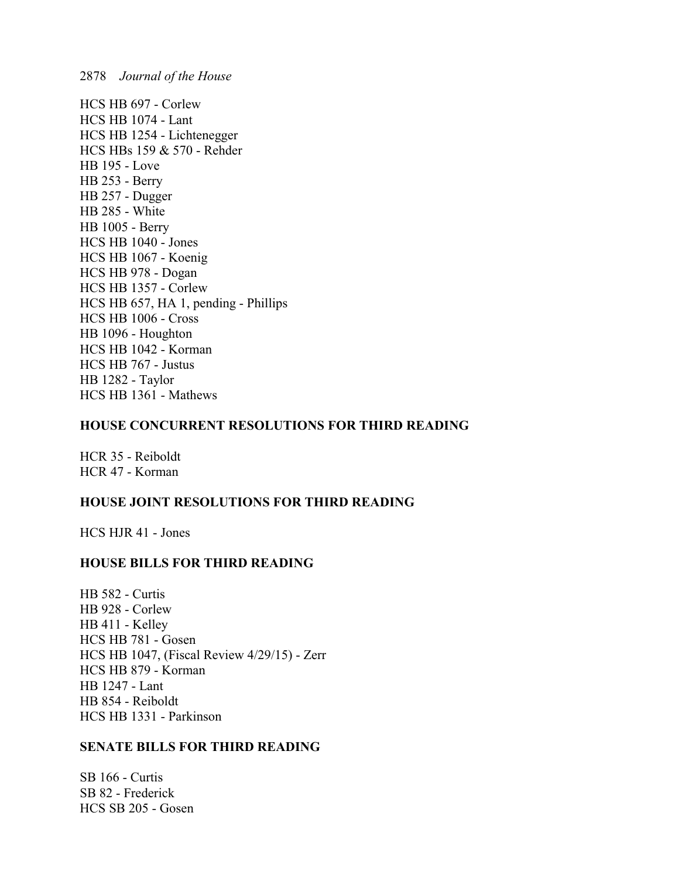HCS HB 697 - Corlew HCS HB 1074 - Lant HCS HB 1254 - Lichtenegger HCS HBs 159 & 570 - Rehder HB 195 - Love HB 253 - Berry HB 257 - Dugger HB 285 - White HB 1005 - Berry HCS HB 1040 - Jones HCS HB 1067 - Koenig HCS HB 978 - Dogan HCS HB 1357 - Corlew HCS HB 657, HA 1, pending - Phillips HCS HB 1006 - Cross HB 1096 - Houghton HCS HB 1042 - Korman HCS HB 767 - Justus HB 1282 - Taylor HCS HB 1361 - Mathews

### **HOUSE CONCURRENT RESOLUTIONS FOR THIRD READING**

HCR 35 - Reiboldt HCR 47 - Korman

### **HOUSE JOINT RESOLUTIONS FOR THIRD READING**

HCS HJR 41 - Jones

### **HOUSE BILLS FOR THIRD READING**

HB 582 - Curtis HB 928 - Corlew HB 411 - Kelley HCS HB 781 - Gosen HCS HB 1047, (Fiscal Review 4/29/15) - Zerr HCS HB 879 - Korman HB 1247 - Lant HB 854 - Reiboldt HCS HB 1331 - Parkinson

### **SENATE BILLS FOR THIRD READING**

SB 166 - Curtis SB 82 - Frederick HCS SB 205 - Gosen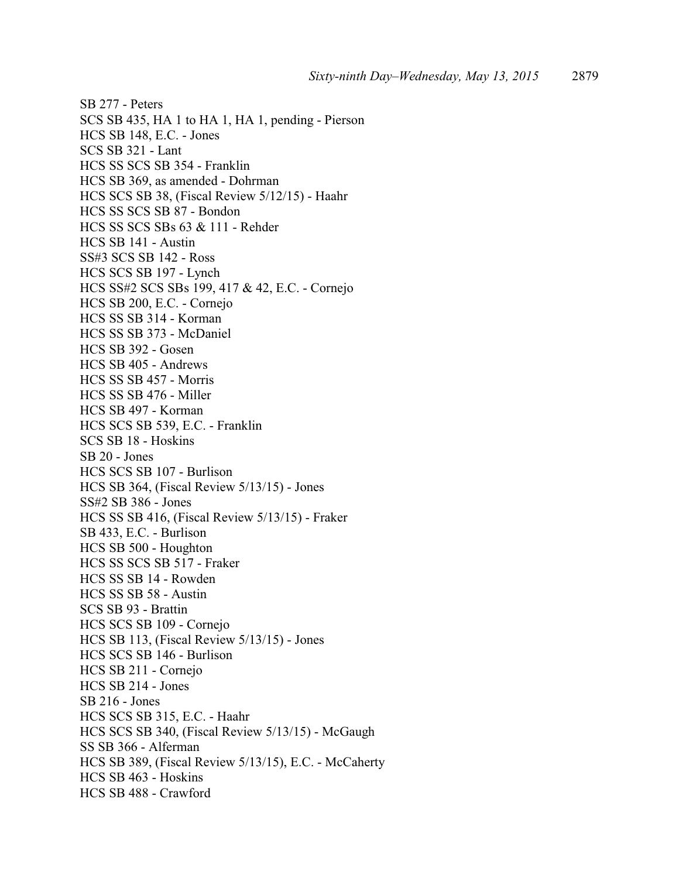SB 277 - Peters SCS SB 435, HA 1 to HA 1, HA 1, pending - Pierson HCS SB 148, E.C. - Jones SCS SB 321 - Lant HCS SS SCS SB 354 - Franklin HCS SB 369, as amended - Dohrman HCS SCS SB 38, (Fiscal Review 5/12/15) - Haahr HCS SS SCS SB 87 - Bondon HCS SS SCS SBs 63 & 111 - Rehder HCS SB 141 - Austin SS#3 SCS SB 142 - Ross HCS SCS SB 197 - Lynch HCS SS#2 SCS SBs 199, 417 & 42, E.C. - Cornejo HCS SB 200, E.C. - Cornejo HCS SS SB 314 - Korman HCS SS SB 373 - McDaniel HCS SB 392 - Gosen HCS SB 405 - Andrews HCS SS SB 457 - Morris HCS SS SB 476 - Miller HCS SB 497 - Korman HCS SCS SB 539, E.C. - Franklin SCS SB 18 - Hoskins SB 20 - Jones HCS SCS SB 107 - Burlison HCS SB 364, (Fiscal Review 5/13/15) - Jones SS#2 SB 386 - Jones HCS SS SB 416, (Fiscal Review 5/13/15) - Fraker SB 433, E.C. - Burlison HCS SB 500 - Houghton HCS SS SCS SB 517 - Fraker HCS SS SB 14 - Rowden HCS SS SB 58 - Austin SCS SB 93 - Brattin HCS SCS SB 109 - Cornejo HCS SB 113, (Fiscal Review 5/13/15) - Jones HCS SCS SB 146 - Burlison HCS SB 211 - Cornejo HCS SB 214 - Jones SB 216 - Jones HCS SCS SB 315, E.C. - Haahr HCS SCS SB 340, (Fiscal Review 5/13/15) - McGaugh SS SB 366 - Alferman HCS SB 389, (Fiscal Review 5/13/15), E.C. - McCaherty HCS SB 463 - Hoskins HCS SB 488 - Crawford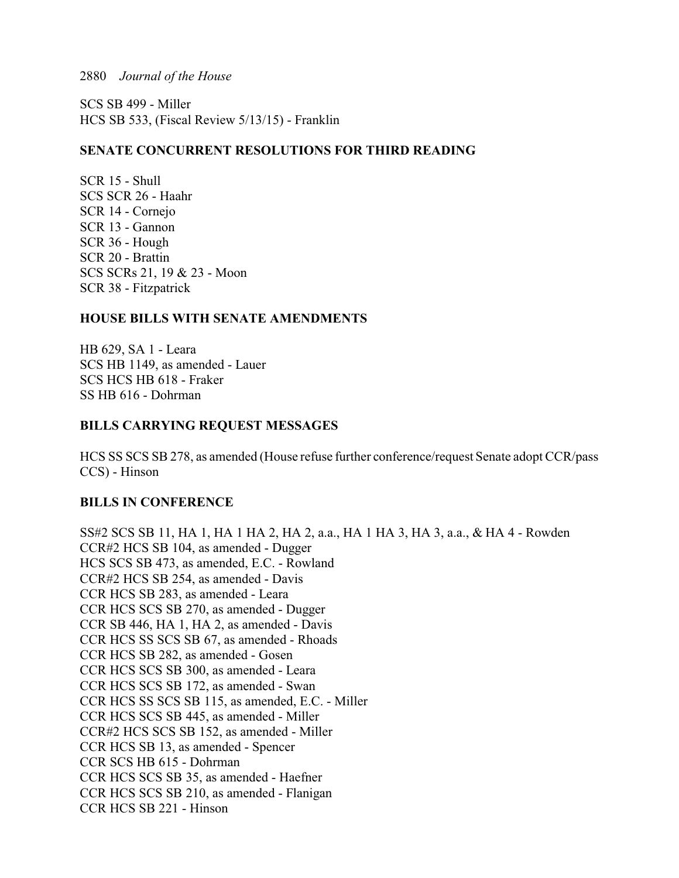SCS SB 499 - Miller HCS SB 533, (Fiscal Review 5/13/15) - Franklin

### **SENATE CONCURRENT RESOLUTIONS FOR THIRD READING**

SCR 15 - Shull SCS SCR 26 - Haahr SCR 14 - Cornejo SCR 13 - Gannon SCR 36 - Hough SCR 20 - Brattin SCS SCRs 21, 19 & 23 - Moon SCR 38 - Fitzpatrick

### **HOUSE BILLS WITH SENATE AMENDMENTS**

HB 629, SA 1 - Leara SCS HB 1149, as amended - Lauer SCS HCS HB 618 - Fraker SS HB 616 - Dohrman

### **BILLS CARRYING REQUEST MESSAGES**

HCS SS SCS SB 278, as amended (House refuse further conference/request Senate adopt CCR/pass CCS) - Hinson

### **BILLS IN CONFERENCE**

SS#2 SCS SB 11, HA 1, HA 1 HA 2, HA 2, a.a., HA 1 HA 3, HA 3, a.a., & HA 4 - Rowden CCR#2 HCS SB 104, as amended - Dugger HCS SCS SB 473, as amended, E.C. - Rowland CCR#2 HCS SB 254, as amended - Davis CCR HCS SB 283, as amended - Leara CCR HCS SCS SB 270, as amended - Dugger CCR SB 446, HA 1, HA 2, as amended - Davis CCR HCS SS SCS SB 67, as amended - Rhoads CCR HCS SB 282, as amended - Gosen CCR HCS SCS SB 300, as amended - Leara CCR HCS SCS SB 172, as amended - Swan CCR HCS SS SCS SB 115, as amended, E.C. - Miller CCR HCS SCS SB 445, as amended - Miller CCR#2 HCS SCS SB 152, as amended - Miller CCR HCS SB 13, as amended - Spencer CCR SCS HB 615 - Dohrman CCR HCS SCS SB 35, as amended - Haefner CCR HCS SCS SB 210, as amended - Flanigan CCR HCS SB 221 - Hinson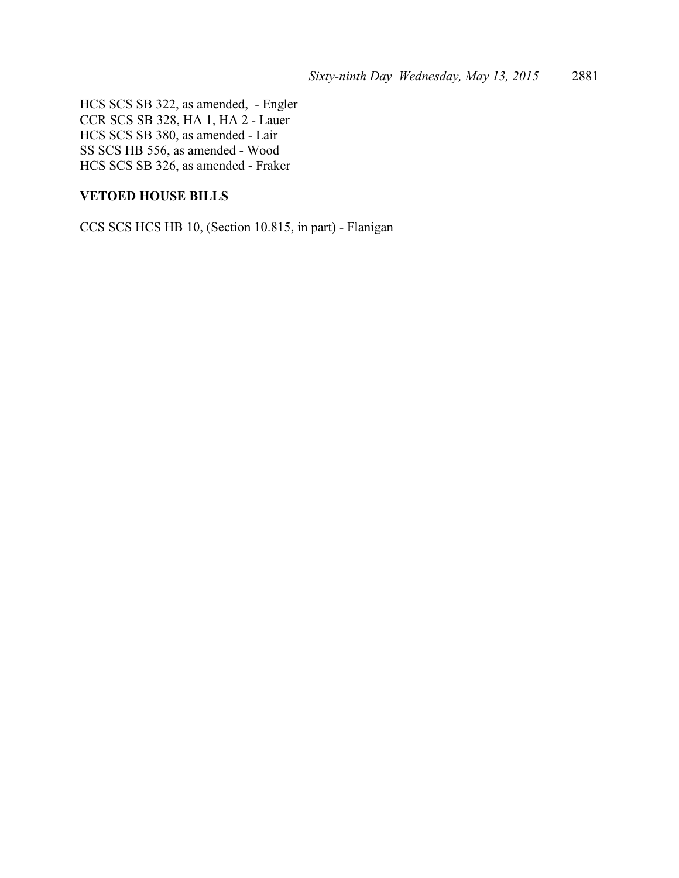HCS SCS SB 322, as amended, - Engler CCR SCS SB 328, HA 1, HA 2 - Lauer HCS SCS SB 380, as amended - Lair SS SCS HB 556, as amended - Wood HCS SCS SB 326, as amended - Fraker

### **VETOED HOUSE BILLS**

CCS SCS HCS HB 10, (Section 10.815, in part) - Flanigan